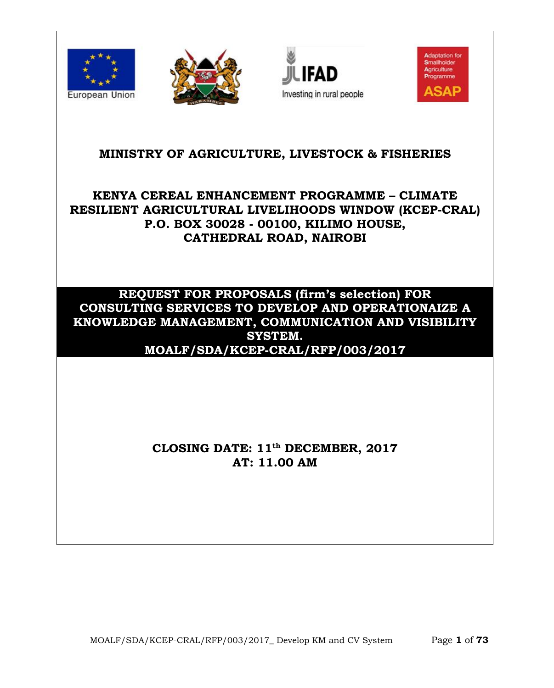







## **MINISTRY OF AGRICULTURE, LIVESTOCK & FISHERIES**

# **KENYA CEREAL ENHANCEMENT PROGRAMME – CLIMATE RESILIENT AGRICULTURAL LIVELIHOODS WINDOW (KCEP-CRAL) P.O. BOX 30028 - 00100, KILIMO HOUSE, CATHEDRAL ROAD, NAIROBI**

## **REQUEST FOR PROPOSALS (firm's selection) FOR CONSULTING SERVICES TO DEVELOP AND OPERATIONAIZE A KNOWLEDGE MANAGEMENT, COMMUNICATION AND VISIBILITY SYSTEM. MOALF/SDA/KCEP-CRAL/RFP/003/2017**

# **CLOSING DATE: 11 th DECEMBER, 2017 AT: 11.00 AM**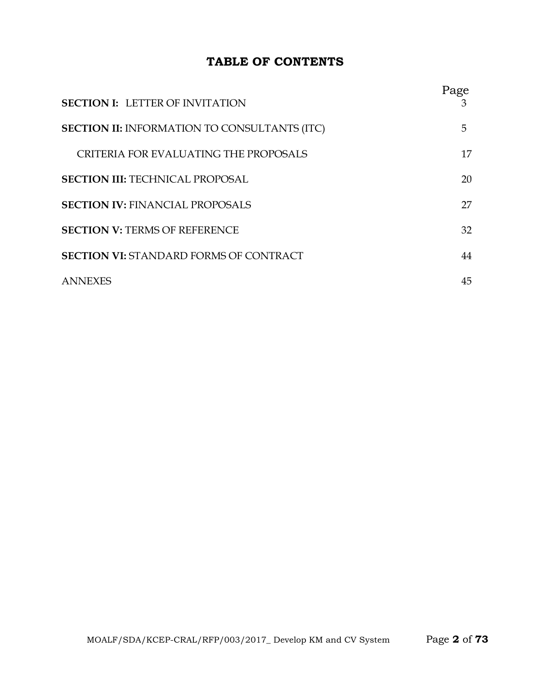## **TABLE OF CONTENTS**

| <b>SECTION I: LETTER OF INVITATION</b>              | Page<br>3 |
|-----------------------------------------------------|-----------|
| <b>SECTION II: INFORMATION TO CONSULTANTS (ITC)</b> | 5.        |
| CRITERIA FOR EVALUATING THE PROPOSALS               | 17        |
| <b>SECTION III: TECHNICAL PROPOSAL</b>              | 20        |
| <b>SECTION IV: FINANCIAL PROPOSALS</b>              | 27        |
| <b>SECTION V: TERMS OF REFERENCE</b>                | 32        |
| <b>SECTION VI: STANDARD FORMS OF CONTRACT</b>       | 44        |
| <b>ANNEXES</b>                                      | 45        |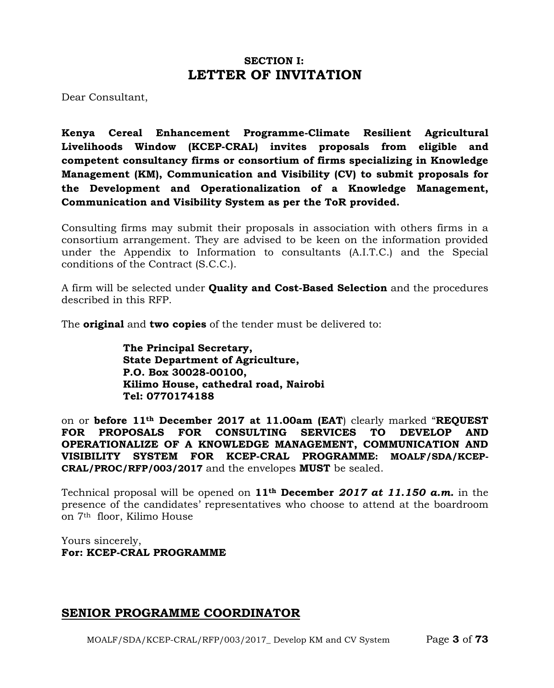## **SECTION I: LETTER OF INVITATION**

Dear Consultant,

**Kenya Cereal Enhancement Programme-Climate Resilient Agricultural Livelihoods Window (KCEP-CRAL) invites proposals from eligible and competent consultancy firms or consortium of firms specializing in Knowledge Management (KM), Communication and Visibility (CV) to submit proposals for the Development and Operationalization of a Knowledge Management, Communication and Visibility System as per the ToR provided.**

Consulting firms may submit their proposals in association with others firms in a consortium arrangement. They are advised to be keen on the information provided under the Appendix to Information to consultants (A.I.T.C.) and the Special conditions of the Contract (S.C.C.).

A firm will be selected under **Quality and Cost-Based Selection** and the procedures described in this RFP.

The **original** and **two copies** of the tender must be delivered to:

**The Principal Secretary, State Department of Agriculture, P.O. Box 30028-00100, Kilimo House, cathedral road, Nairobi Tel: 0770174188**

on or **before 11th December 2017 at 11.00am (EAT**) clearly marked "**REQUEST FOR PROPOSALS FOR CONSULTING SERVICES TO DEVELOP AND OPERATIONALIZE OF A KNOWLEDGE MANAGEMENT, COMMUNICATION AND VISIBILITY SYSTEM FOR KCEP-CRAL PROGRAMME: MOALF/SDA/KCEP-CRAL/PROC/RFP/003/2017** and the envelopes **MUST** be sealed.

Technical proposal will be opened on **11th December** *2017 at 11.150 a.m.* in the presence of the candidates' representatives who choose to attend at the boardroom on 7th floor, Kilimo House

Yours sincerely, **For: KCEP-CRAL PROGRAMME**

## **SENIOR PROGRAMME COORDINATOR**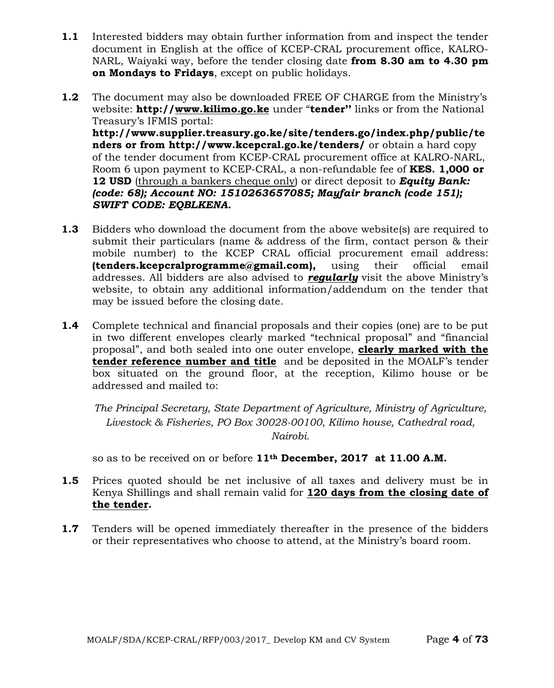- **1.1** Interested bidders may obtain further information from and inspect the tender document in English at the office of KCEP-CRAL procurement office, KALRO-NARL, Waiyaki way, before the tender closing date **from 8.30 am to 4.30 pm on Mondays to Fridays**, except on public holidays.
- **1.2** The document may also be downloaded FREE OF CHARGE from the Ministry's website: **http:/[/www.kilimo.go.ke](http://www.kilimo.go.ke/)** under "**tender''** links or from the National Treasury's IFMIS portal: **http://www.supplier.treasury.go.ke/site/tenders.go/index.php/public/te nders or from<http://www.kcepcral.go.ke/tenders/>** or obtain a hard copy of the tender document from KCEP-CRAL procurement office at KALRO-NARL, Room 6 upon payment to KCEP-CRAL, a non-refundable fee of **KES. 1,000 or**

**12 USD** (through a bankers cheque only) or direct deposit to *Equity Bank: (code: 68); Account NO: 1510263657085; Mayfair branch (code 151); SWIFT CODE: EQBLKENA.*

- **1.3** Bidders who download the document from the above website(s) are required to submit their particulars (name & address of the firm, contact person & their mobile number) to the KCEP CRAL official procurement email address: **(tenders.kcepcralprogramme@gmail.com),** using their official email addresses. All bidders are also advised to *regularly* visit the above Ministry's website, to obtain any additional information/addendum on the tender that may be issued before the closing date.
- **1.4** Complete technical and financial proposals and their copies (one) are to be put in two different envelopes clearly marked "technical proposal" and "financial proposal", and both sealed into one outer envelope, **clearly marked with the tender reference number and title** and be deposited in the MOALF's tender box situated on the ground floor, at the reception, Kilimo house or be addressed and mailed to:

*The Principal Secretary, State Department of Agriculture, Ministry of Agriculture, Livestock & Fisheries, PO Box 30028-00100, Kilimo house, Cathedral road, Nairobi.*

so as to be received on or before **11th December, 2017 at 11.00 A.M.**

- **1.5** Prices quoted should be net inclusive of all taxes and delivery must be in Kenya Shillings and shall remain valid for **120 days from the closing date of the tender.**
- **1.7** Tenders will be opened immediately thereafter in the presence of the bidders or their representatives who choose to attend, at the Ministry's board room.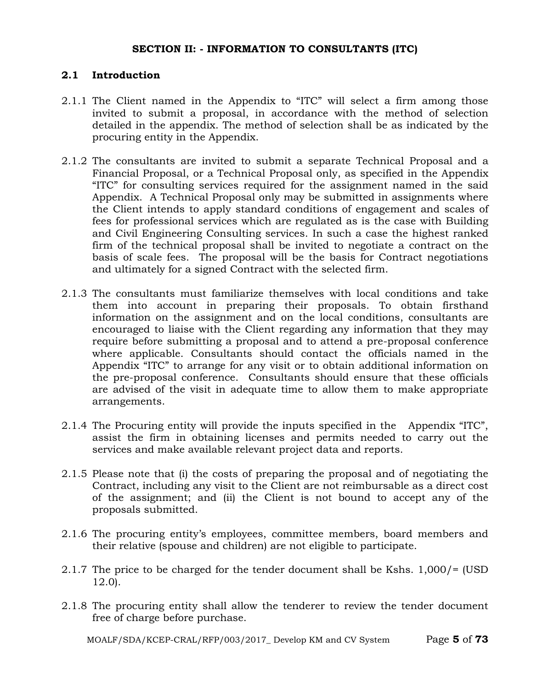### **SECTION II: - INFORMATION TO CONSULTANTS (ITC)**

### **2.1 Introduction**

- 2.1.1 The Client named in the Appendix to "ITC" will select a firm among those invited to submit a proposal, in accordance with the method of selection detailed in the appendix. The method of selection shall be as indicated by the procuring entity in the Appendix.
- 2.1.2 The consultants are invited to submit a separate Technical Proposal and a Financial Proposal, or a Technical Proposal only, as specified in the Appendix "ITC" for consulting services required for the assignment named in the said Appendix. A Technical Proposal only may be submitted in assignments where the Client intends to apply standard conditions of engagement and scales of fees for professional services which are regulated as is the case with Building and Civil Engineering Consulting services. In such a case the highest ranked firm of the technical proposal shall be invited to negotiate a contract on the basis of scale fees. The proposal will be the basis for Contract negotiations and ultimately for a signed Contract with the selected firm.
- 2.1.3 The consultants must familiarize themselves with local conditions and take them into account in preparing their proposals. To obtain firsthand information on the assignment and on the local conditions, consultants are encouraged to liaise with the Client regarding any information that they may require before submitting a proposal and to attend a pre-proposal conference where applicable. Consultants should contact the officials named in the Appendix "ITC" to arrange for any visit or to obtain additional information on the pre-proposal conference. Consultants should ensure that these officials are advised of the visit in adequate time to allow them to make appropriate arrangements.
- 2.1.4 The Procuring entity will provide the inputs specified in the Appendix "ITC", assist the firm in obtaining licenses and permits needed to carry out the services and make available relevant project data and reports.
- 2.1.5 Please note that (i) the costs of preparing the proposal and of negotiating the Contract, including any visit to the Client are not reimbursable as a direct cost of the assignment; and (ii) the Client is not bound to accept any of the proposals submitted.
- 2.1.6 The procuring entity's employees, committee members, board members and their relative (spouse and children) are not eligible to participate.
- 2.1.7 The price to be charged for the tender document shall be Kshs. 1,000/= (USD 12.0).
- 2.1.8 The procuring entity shall allow the tenderer to review the tender document free of charge before purchase.

MOALF/SDA/KCEP-CRAL/RFP/003/2017\_ Develop KM and CV System Page **5** of **73**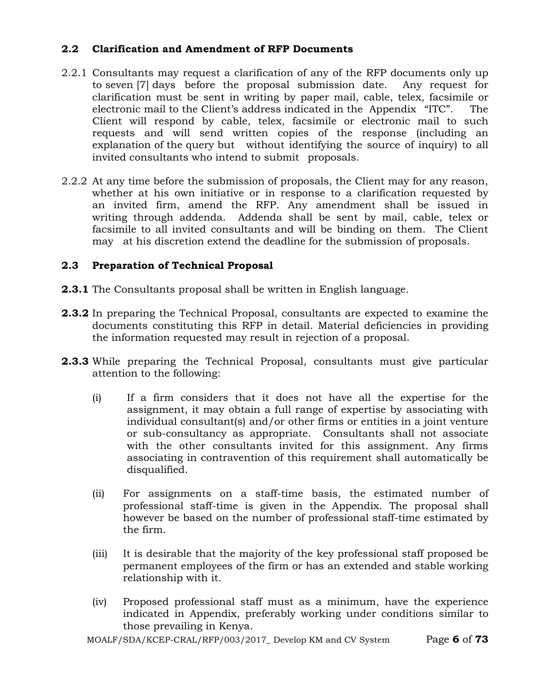## **2.2 Clarification and Amendment of RFP Documents**

- 2.2.1 Consultants may request a clarification of any of the RFP documents only up to seven [7] days before the proposal submission date. Any request for clarification must be sent in writing by paper mail, cable, telex, facsimile or electronic mail to the Client's address indicated in the Appendix "ITC". The Client will respond by cable, telex, facsimile or electronic mail to such requests and will send written copies of the response (including an explanation of the query but without identifying the source of inquiry) to all invited consultants who intend to submit proposals.
- 2.2.2 At any time before the submission of proposals, the Client may for any reason, whether at his own initiative or in response to a clarification requested by an invited firm, amend the RFP. Any amendment shall be issued in writing through addenda. Addenda shall be sent by mail, cable, telex or facsimile to all invited consultants and will be binding on them. The Client may at his discretion extend the deadline for the submission of proposals.

## **2.3 Preparation of Technical Proposal**

- **2.3.1** The Consultants proposal shall be written in English language.
- **2.3.2** In preparing the Technical Proposal, consultants are expected to examine the documents constituting this RFP in detail. Material deficiencies in providing the information requested may result in rejection of a proposal.
- **2.3.3** While preparing the Technical Proposal, consultants must give particular attention to the following:
	- (i) If a firm considers that it does not have all the expertise for the assignment, it may obtain a full range of expertise by associating with individual consultant(s) and/or other firms or entities in a joint venture or sub-consultancy as appropriate. Consultants shall not associate with the other consultants invited for this assignment. Any firms associating in contravention of this requirement shall automatically be disqualified.
	- (ii) For assignments on a staff-time basis, the estimated number of professional staff-time is given in the Appendix. The proposal shall however be based on the number of professional staff-time estimated by the firm.
	- (iii) It is desirable that the majority of the key professional staff proposed be permanent employees of the firm or has an extended and stable working relationship with it.
	- (iv) Proposed professional staff must as a minimum, have the experience indicated in Appendix, preferably working under conditions similar to those prevailing in Kenya.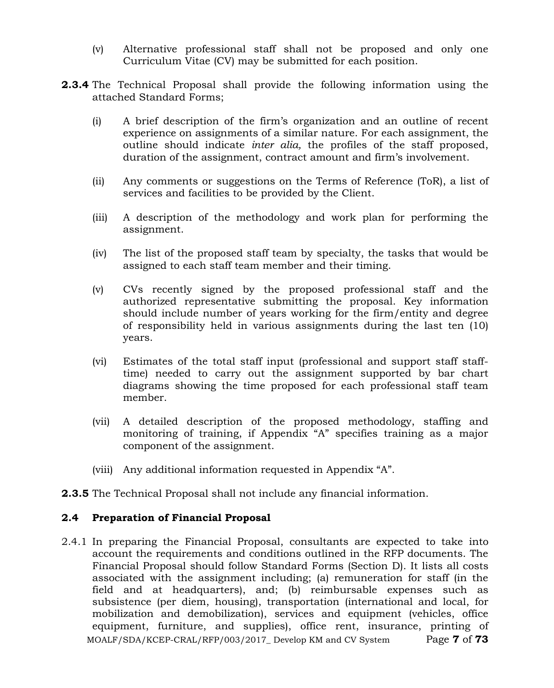- (v) Alternative professional staff shall not be proposed and only one Curriculum Vitae (CV) may be submitted for each position.
- **2.3.4** The Technical Proposal shall provide the following information using the attached Standard Forms;
	- (i) A brief description of the firm's organization and an outline of recent experience on assignments of a similar nature. For each assignment, the outline should indicate *inter alia,* the profiles of the staff proposed, duration of the assignment, contract amount and firm's involvement.
	- (ii) Any comments or suggestions on the Terms of Reference (ToR), a list of services and facilities to be provided by the Client.
	- (iii) A description of the methodology and work plan for performing the assignment.
	- (iv) The list of the proposed staff team by specialty, the tasks that would be assigned to each staff team member and their timing.
	- (v) CVs recently signed by the proposed professional staff and the authorized representative submitting the proposal. Key information should include number of years working for the firm/entity and degree of responsibility held in various assignments during the last ten (10) years.
	- (vi) Estimates of the total staff input (professional and support staff stafftime) needed to carry out the assignment supported by bar chart diagrams showing the time proposed for each professional staff team member.
	- (vii) A detailed description of the proposed methodology, staffing and monitoring of training, if Appendix "A" specifies training as a major component of the assignment.
	- (viii) Any additional information requested in Appendix "A".
- **2.3.5** The Technical Proposal shall not include any financial information.

### **2.4 Preparation of Financial Proposal**

MOALF/SDA/KCEP-CRAL/RFP/003/2017\_ Develop KM and CV System Page **7** of **73** 2.4.1 In preparing the Financial Proposal, consultants are expected to take into account the requirements and conditions outlined in the RFP documents. The Financial Proposal should follow Standard Forms (Section D). It lists all costs associated with the assignment including; (a) remuneration for staff (in the field and at headquarters), and; (b) reimbursable expenses such as subsistence (per diem, housing), transportation (international and local, for mobilization and demobilization), services and equipment (vehicles, office equipment, furniture, and supplies), office rent, insurance, printing of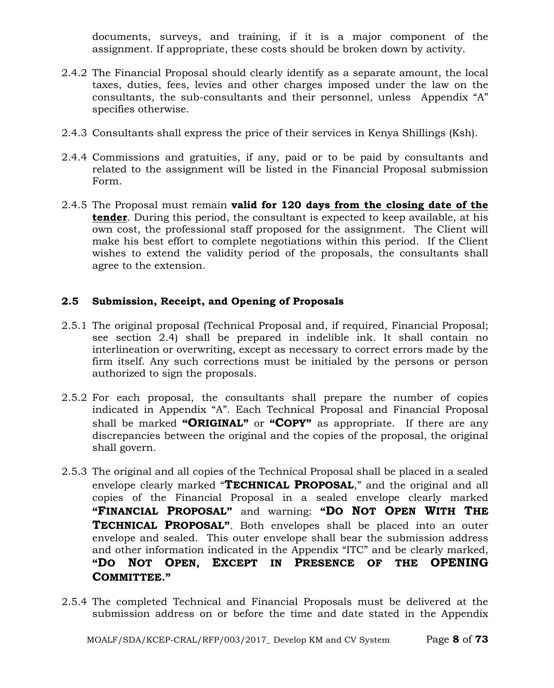documents, surveys, and training, if it is a major component of the assignment. If appropriate, these costs should be broken down by activity.

- 2.4.2 The Financial Proposal should clearly identify as a separate amount, the local taxes, duties, fees, levies and other charges imposed under the law on the consultants, the sub-consultants and their personnel, unless Appendix "A" specifies otherwise.
- 2.4.3 Consultants shall express the price of their services in Kenya Shillings (Ksh).
- 2.4.4 Commissions and gratuities, if any, paid or to be paid by consultants and related to the assignment will be listed in the Financial Proposal submission Form.
- 2.4.5 The Proposal must remain **valid for 120 days from the closing date of the tender**. During this period, the consultant is expected to keep available, at his own cost, the professional staff proposed for the assignment. The Client will make his best effort to complete negotiations within this period. If the Client wishes to extend the validity period of the proposals, the consultants shall agree to the extension.

## **2.5 Submission, Receipt, and Opening of Proposals**

- 2.5.1 The original proposal (Technical Proposal and, if required, Financial Proposal; see section 2.4) shall be prepared in indelible ink. It shall contain no interlineation or overwriting, except as necessary to correct errors made by the firm itself. Any such corrections must be initialed by the persons or person authorized to sign the proposals.
- 2.5.2 For each proposal, the consultants shall prepare the number of copies indicated in Appendix "A". Each Technical Proposal and Financial Proposal shall be marked **"ORIGINAL"** or **"COPY"** as appropriate. If there are any discrepancies between the original and the copies of the proposal, the original shall govern.
- 2.5.3 The original and all copies of the Technical Proposal shall be placed in a sealed envelope clearly marked "**TECHNICAL PROPOSAL**," and the original and all copies of the Financial Proposal in a sealed envelope clearly marked **"FINANCIAL PROPOSAL"** and warning: **"DO NOT OPEN WITH THE TECHNICAL PROPOSAL"**. Both envelopes shall be placed into an outer envelope and sealed. This outer envelope shall bear the submission address and other information indicated in the Appendix "ITC" and be clearly marked, **"DO NOT OPEN, EXCEPT IN PRESENCE OF THE OPENING COMMITTEE."**
- 2.5.4 The completed Technical and Financial Proposals must be delivered at the submission address on or before the time and date stated in the Appendix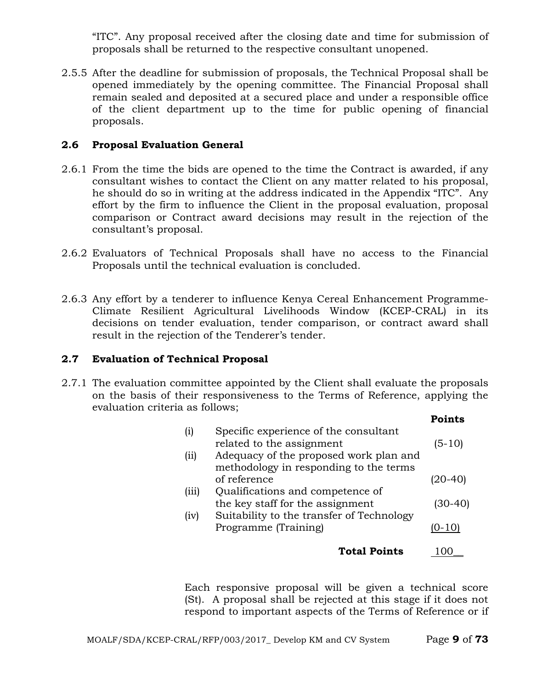"ITC". Any proposal received after the closing date and time for submission of proposals shall be returned to the respective consultant unopened.

2.5.5 After the deadline for submission of proposals, the Technical Proposal shall be opened immediately by the opening committee. The Financial Proposal shall remain sealed and deposited at a secured place and under a responsible office of the client department up to the time for public opening of financial proposals.

### **2.6 Proposal Evaluation General**

- 2.6.1 From the time the bids are opened to the time the Contract is awarded, if any consultant wishes to contact the Client on any matter related to his proposal, he should do so in writing at the address indicated in the Appendix "ITC". Any effort by the firm to influence the Client in the proposal evaluation, proposal comparison or Contract award decisions may result in the rejection of the consultant's proposal.
- 2.6.2 Evaluators of Technical Proposals shall have no access to the Financial Proposals until the technical evaluation is concluded.
- 2.6.3 Any effort by a tenderer to influence Kenya Cereal Enhancement Programme-Climate Resilient Agricultural Livelihoods Window (KCEP-CRAL) in its decisions on tender evaluation, tender comparison, or contract award shall result in the rejection of the Tenderer's tender.

### **2.7 Evaluation of Technical Proposal**

2.7.1 The evaluation committee appointed by the Client shall evaluate the proposals on the basis of their responsiveness to the Terms of Reference, applying the evaluation criteria as follows;

|          |                                           | <b>Points</b> |
|----------|-------------------------------------------|---------------|
| $\rm(i)$ | Specific experience of the consultant     |               |
|          | related to the assignment                 | $(5-10)$      |
| (iii)    | Adequacy of the proposed work plan and    |               |
|          | methodology in responding to the terms    |               |
|          | of reference                              | (20-40)       |
| (iii)    | Qualifications and competence of          |               |
|          | the key staff for the assignment          | (30-40)       |
| (iv)     | Suitability to the transfer of Technology |               |
|          | Programme (Training)                      | '0-10)        |
|          |                                           |               |
|          | <b>Total Points</b>                       |               |
|          |                                           |               |

Each responsive proposal will be given a technical score (St). A proposal shall be rejected at this stage if it does not respond to important aspects of the Terms of Reference or if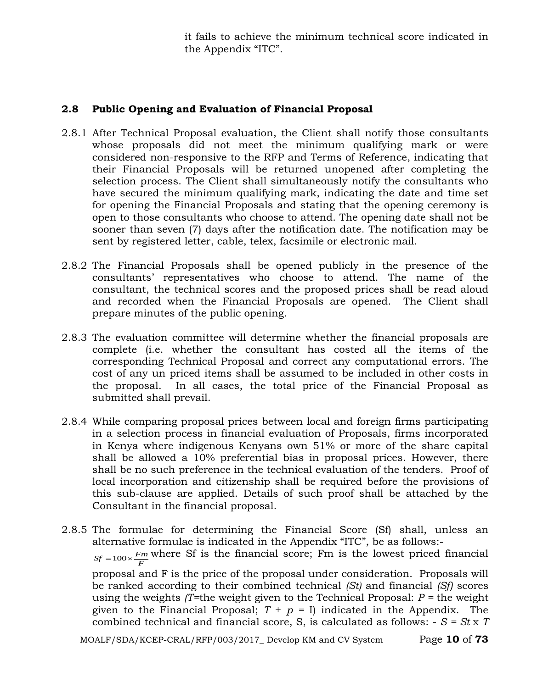it fails to achieve the minimum technical score indicated in the Appendix "ITC".

## **2.8 Public Opening and Evaluation of Financial Proposal**

- 2.8.1 After Technical Proposal evaluation, the Client shall notify those consultants whose proposals did not meet the minimum qualifying mark or were considered non-responsive to the RFP and Terms of Reference, indicating that their Financial Proposals will be returned unopened after completing the selection process. The Client shall simultaneously notify the consultants who have secured the minimum qualifying mark, indicating the date and time set for opening the Financial Proposals and stating that the opening ceremony is open to those consultants who choose to attend. The opening date shall not be sooner than seven (7) days after the notification date. The notification may be sent by registered letter, cable, telex, facsimile or electronic mail.
- 2.8.2 The Financial Proposals shall be opened publicly in the presence of the consultants' representatives who choose to attend. The name of the consultant, the technical scores and the proposed prices shall be read aloud and recorded when the Financial Proposals are opened. The Client shall prepare minutes of the public opening.
- 2.8.3 The evaluation committee will determine whether the financial proposals are complete (i.e. whether the consultant has costed all the items of the corresponding Technical Proposal and correct any computational errors. The cost of any un priced items shall be assumed to be included in other costs in the proposal. In all cases, the total price of the Financial Proposal as submitted shall prevail.
- 2.8.4 While comparing proposal prices between local and foreign firms participating in a selection process in financial evaluation of Proposals, firms incorporated in Kenya where indigenous Kenyans own 51% or more of the share capital shall be allowed a 10% preferential bias in proposal prices. However, there shall be no such preference in the technical evaluation of the tenders. Proof of local incorporation and citizenship shall be required before the provisions of this sub-clause are applied. Details of such proof shall be attached by the Consultant in the financial proposal.

2.8.5 The formulae for determining the Financial Score (Sf) shall, unless an alternative formulae is indicated in the Appendix "ITC", be as follows:-  $S_f = 100 \times \frac{F_m}{F}$  where Sf is the financial score; Fm is the lowest priced financial proposal and F is the price of the proposal under consideration. Proposals will be ranked according to their combined technical *(St)* and financial *(Sf)* scores using the weights  $(T=$ the weight given to the Technical Proposal:  $P =$  the weight given to the Financial Proposal;  $T + p = I$  indicated in the Appendix. The combined technical and financial score, S, is calculated as follows: - *S = St* x *T* 

MOALF/SDA/KCEP-CRAL/RFP/003/2017\_ Develop KM and CV System Page **10** of **73**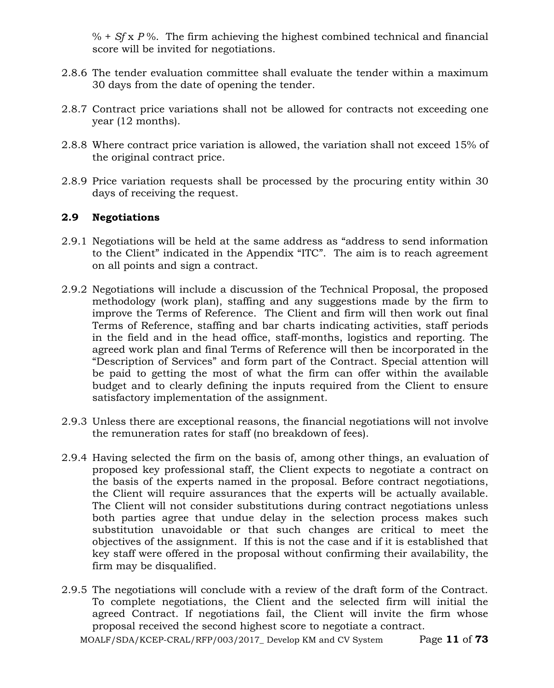% + *Sf* x *P* %. The firm achieving the highest combined technical and financial score will be invited for negotiations.

- 2.8.6 The tender evaluation committee shall evaluate the tender within a maximum 30 days from the date of opening the tender.
- 2.8.7 Contract price variations shall not be allowed for contracts not exceeding one year (12 months).
- 2.8.8 Where contract price variation is allowed, the variation shall not exceed 15% of the original contract price.
- 2.8.9 Price variation requests shall be processed by the procuring entity within 30 days of receiving the request.

## **2.9 Negotiations**

- 2.9.1 Negotiations will be held at the same address as "address to send information to the Client" indicated in the Appendix "ITC". The aim is to reach agreement on all points and sign a contract.
- 2.9.2 Negotiations will include a discussion of the Technical Proposal, the proposed methodology (work plan), staffing and any suggestions made by the firm to improve the Terms of Reference. The Client and firm will then work out final Terms of Reference, staffing and bar charts indicating activities, staff periods in the field and in the head office, staff-months, logistics and reporting. The agreed work plan and final Terms of Reference will then be incorporated in the "Description of Services" and form part of the Contract. Special attention will be paid to getting the most of what the firm can offer within the available budget and to clearly defining the inputs required from the Client to ensure satisfactory implementation of the assignment.
- 2.9.3 Unless there are exceptional reasons, the financial negotiations will not involve the remuneration rates for staff (no breakdown of fees).
- 2.9.4 Having selected the firm on the basis of, among other things, an evaluation of proposed key professional staff, the Client expects to negotiate a contract on the basis of the experts named in the proposal. Before contract negotiations, the Client will require assurances that the experts will be actually available. The Client will not consider substitutions during contract negotiations unless both parties agree that undue delay in the selection process makes such substitution unavoidable or that such changes are critical to meet the objectives of the assignment. If this is not the case and if it is established that key staff were offered in the proposal without confirming their availability, the firm may be disqualified.
- 2.9.5 The negotiations will conclude with a review of the draft form of the Contract. To complete negotiations, the Client and the selected firm will initial the agreed Contract. If negotiations fail, the Client will invite the firm whose proposal received the second highest score to negotiate a contract.

MOALF/SDA/KCEP-CRAL/RFP/003/2017\_ Develop KM and CV System Page **11** of **73**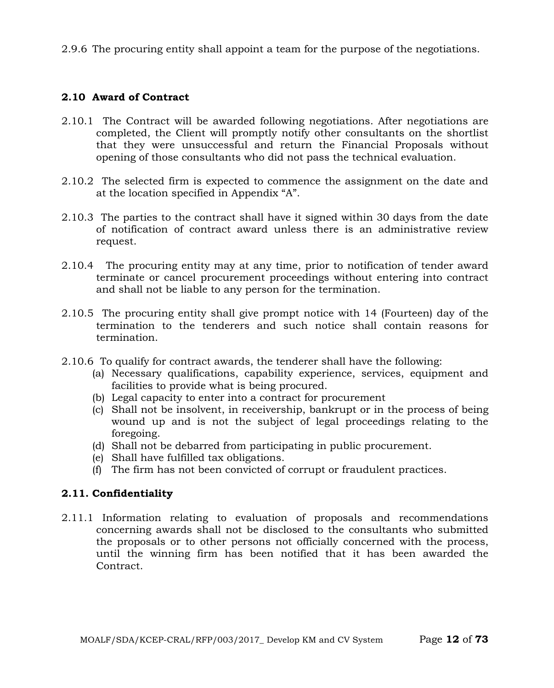2.9.6 The procuring entity shall appoint a team for the purpose of the negotiations.

### **2.10 Award of Contract**

- 2.10.1 The Contract will be awarded following negotiations. After negotiations are completed, the Client will promptly notify other consultants on the shortlist that they were unsuccessful and return the Financial Proposals without opening of those consultants who did not pass the technical evaluation.
- 2.10.2 The selected firm is expected to commence the assignment on the date and at the location specified in Appendix "A".
- 2.10.3 The parties to the contract shall have it signed within 30 days from the date of notification of contract award unless there is an administrative review request.
- 2.10.4 The procuring entity may at any time, prior to notification of tender award terminate or cancel procurement proceedings without entering into contract and shall not be liable to any person for the termination.
- 2.10.5 The procuring entity shall give prompt notice with 14 (Fourteen) day of the termination to the tenderers and such notice shall contain reasons for termination.
- 2.10.6 To qualify for contract awards, the tenderer shall have the following:
	- (a) Necessary qualifications, capability experience, services, equipment and facilities to provide what is being procured.
	- (b) Legal capacity to enter into a contract for procurement
	- (c) Shall not be insolvent, in receivership, bankrupt or in the process of being wound up and is not the subject of legal proceedings relating to the foregoing.
	- (d) Shall not be debarred from participating in public procurement.
	- (e) Shall have fulfilled tax obligations.
	- (f) The firm has not been convicted of corrupt or fraudulent practices.

### **2.11. Confidentiality**

2.11.1 Information relating to evaluation of proposals and recommendations concerning awards shall not be disclosed to the consultants who submitted the proposals or to other persons not officially concerned with the process, until the winning firm has been notified that it has been awarded the Contract.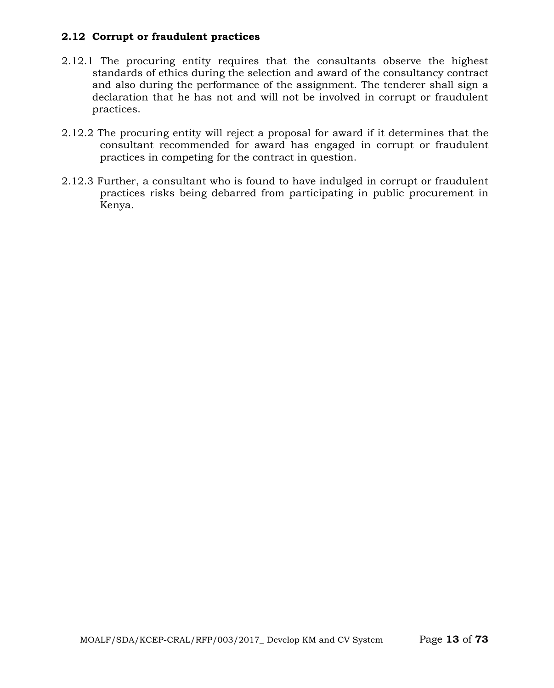## **2.12 Corrupt or fraudulent practices**

- 2.12.1 The procuring entity requires that the consultants observe the highest standards of ethics during the selection and award of the consultancy contract and also during the performance of the assignment. The tenderer shall sign a declaration that he has not and will not be involved in corrupt or fraudulent practices.
- 2.12.2 The procuring entity will reject a proposal for award if it determines that the consultant recommended for award has engaged in corrupt or fraudulent practices in competing for the contract in question.
- 2.12.3 Further, a consultant who is found to have indulged in corrupt or fraudulent practices risks being debarred from participating in public procurement in Kenya.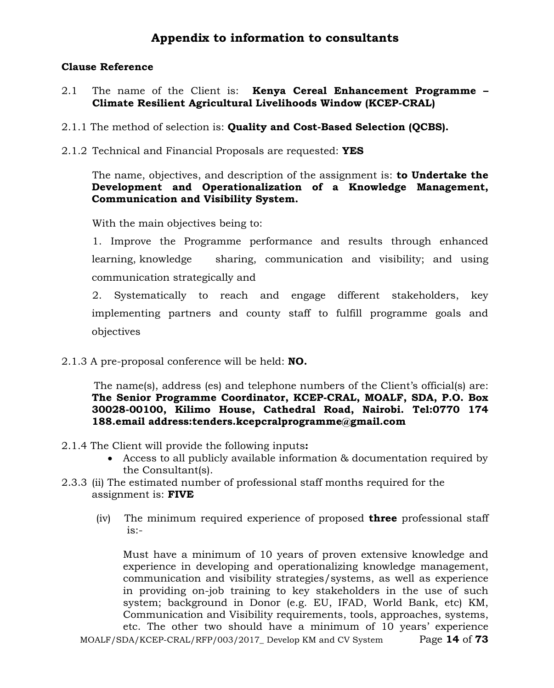## **Appendix to information to consultants**

### **Clause Reference**

- 2.1 The name of the Client is: **Kenya Cereal Enhancement Programme – Climate Resilient Agricultural Livelihoods Window (KCEP-CRAL)**
- 2.1.1 The method of selection is: **Quality and Cost-Based Selection (QCBS).**
- 2.1.2 Technical and Financial Proposals are requested: **YES**

The name, objectives, and description of the assignment is: **to Undertake the Development and Operationalization of a Knowledge Management, Communication and Visibility System.**

With the main objectives being to:

1. Improve the Programme performance and results through enhanced learning, knowledge sharing, communication and visibility; and using communication strategically and

2. Systematically to reach and engage different stakeholders, key implementing partners and county staff to fulfill programme goals and objectives

2.1.3 A pre-proposal conference will be held: **NO.**

 The name(s), address (es) and telephone numbers of the Client's official(s) are: **The Senior Programme Coordinator, KCEP-CRAL, MOALF, SDA, P.O. Box 30028-00100, Kilimo House, Cathedral Road, Nairobi. [Tel:0770](tel:0770) 174 188.email address:tenders.kcepcralprogramme@gmail.com**

- 2.1.4 The Client will provide the following inputs**:**
	- Access to all publicly available information & documentation required by the Consultant(s).
- 2.3.3 (ii) The estimated number of professional staff months required for the assignment is: **FIVE**
	- (iv) The minimum required experience of proposed **three** professional staff  $is:$

MOALF/SDA/KCEP-CRAL/RFP/003/2017\_ Develop KM and CV System Page **14** of **73** Must have a minimum of 10 years of proven extensive knowledge and experience in developing and operationalizing knowledge management, communication and visibility strategies/systems, as well as experience in providing on-job training to key stakeholders in the use of such system; background in Donor (e.g. EU, IFAD, World Bank, etc) KM, Communication and Visibility requirements, tools, approaches, systems, etc. The other two should have a minimum of 10 years' experience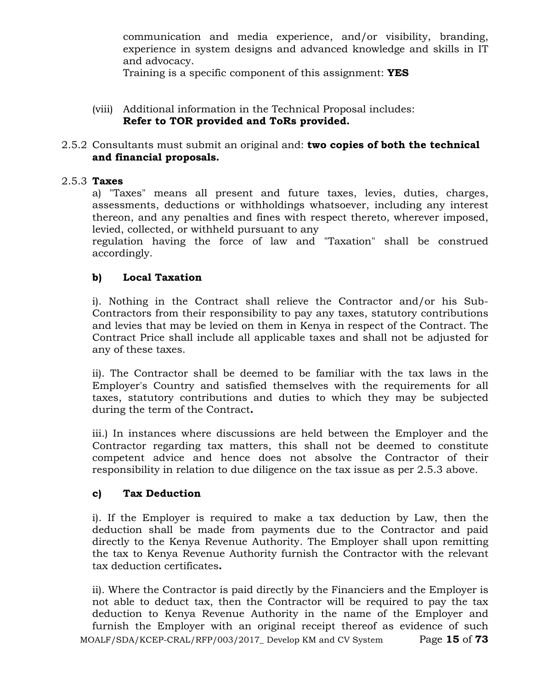communication and media experience, and/or visibility, branding, experience in system designs and advanced knowledge and skills in IT and advocacy.

Training is a specific component of this assignment: **YES**

(viii) Additional information in the Technical Proposal includes: **Refer to TOR provided and ToRs provided.**

## 2.5.2 Consultants must submit an original and: **two copies of both the technical and financial proposals.**

## 2.5.3 **Taxes**

a) "Taxes" means all present and future taxes, levies, duties, charges, assessments, deductions or withholdings whatsoever, including any interest thereon, and any penalties and fines with respect thereto, wherever imposed, levied, collected, or withheld pursuant to any

regulation having the force of law and "Taxation" shall be construed accordingly.

## **b) Local Taxation**

i). Nothing in the Contract shall relieve the Contractor and/or his Sub-Contractors from their responsibility to pay any taxes, statutory contributions and levies that may be levied on them in Kenya in respect of the Contract. The Contract Price shall include all applicable taxes and shall not be adjusted for any of these taxes.

ii). The Contractor shall be deemed to be familiar with the tax laws in the Employer's Country and satisfied themselves with the requirements for all taxes, statutory contributions and duties to which they may be subjected during the term of the Contract**.**

iii.) In instances where discussions are held between the Employer and the Contractor regarding tax matters, this shall not be deemed to constitute competent advice and hence does not absolve the Contractor of their responsibility in relation to due diligence on the tax issue as per 2.5.3 above.

### **c) Tax Deduction**

i). If the Employer is required to make a tax deduction by Law, then the deduction shall be made from payments due to the Contractor and paid directly to the Kenya Revenue Authority. The Employer shall upon remitting the tax to Kenya Revenue Authority furnish the Contractor with the relevant tax deduction certificates**.**

MOALF/SDA/KCEP-CRAL/RFP/003/2017\_ Develop KM and CV System Page **15** of **73** ii). Where the Contractor is paid directly by the Financiers and the Employer is not able to deduct tax, then the Contractor will be required to pay the tax deduction to Kenya Revenue Authority in the name of the Employer and furnish the Employer with an original receipt thereof as evidence of such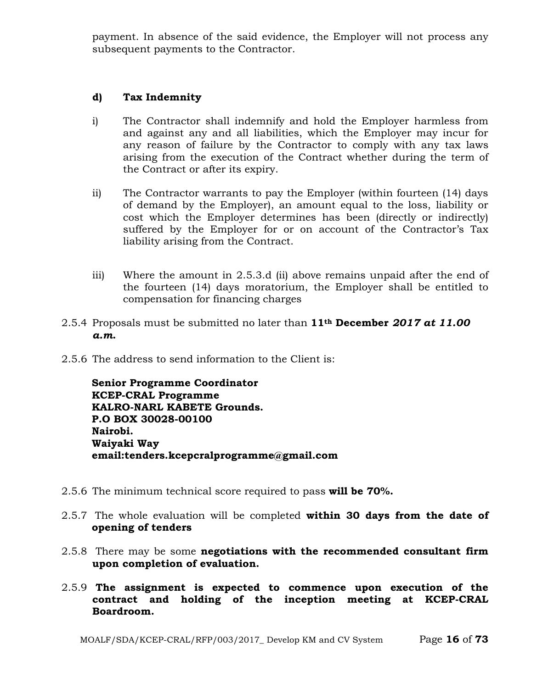payment. In absence of the said evidence, the Employer will not process any subsequent payments to the Contractor.

### **d) Tax Indemnity**

- i) The Contractor shall indemnify and hold the Employer harmless from and against any and all liabilities, which the Employer may incur for any reason of failure by the Contractor to comply with any tax laws arising from the execution of the Contract whether during the term of the Contract or after its expiry.
- ii) The Contractor warrants to pay the Employer (within fourteen (14) days of demand by the Employer), an amount equal to the loss, liability or cost which the Employer determines has been (directly or indirectly) suffered by the Employer for or on account of the Contractor's Tax liability arising from the Contract.
- iii) Where the amount in 2.5.3.d (ii) above remains unpaid after the end of the fourteen (14) days moratorium, the Employer shall be entitled to compensation for financing charges
- 2.5.4 Proposals must be submitted no later than **11th December** *2017 at 11.00 a.m***.**
- 2.5.6 The address to send information to the Client is:

**Senior Programme Coordinator KCEP-CRAL Programme KALRO-NARL KABETE Grounds. P.O BOX 30028-00100 Nairobi. Waiyaki Way email:tenders.kcepcralprogramme@gmail.com**

- 2.5.6 The minimum technical score required to pass **will be 70%.**
- 2.5.7 The whole evaluation will be completed **within 30 days from the date of opening of tenders**
- 2.5.8 There may be some **negotiations with the recommended consultant firm upon completion of evaluation.**
- 2.5.9 **The assignment is expected to commence upon execution of the contract and holding of the inception meeting at KCEP-CRAL Boardroom.**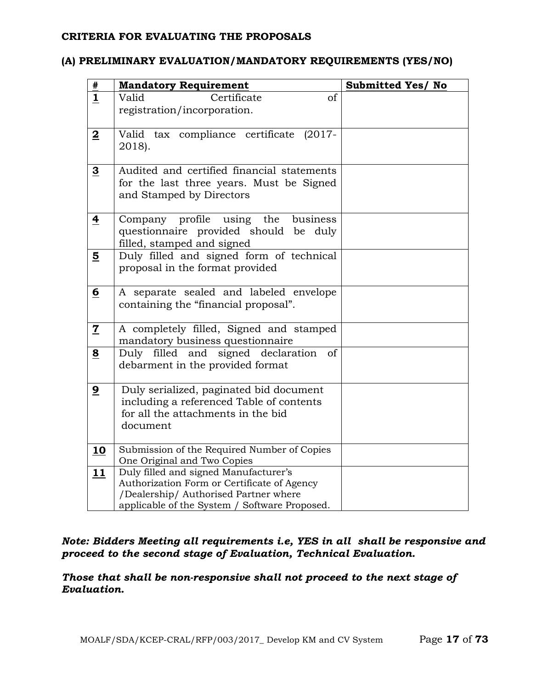#### **CRITERIA FOR EVALUATING THE PROPOSALS**

## **(A) PRELIMINARY EVALUATION/MANDATORY REQUIREMENTS (YES/NO)**

| #                       | <b>Mandatory Requirement</b>                                         | Submitted Yes/ No |
|-------------------------|----------------------------------------------------------------------|-------------------|
| $\mathbf{1}$            | $_{\mathrm{of}}$<br>Certificate<br>Valid                             |                   |
|                         | registration/incorporation.                                          |                   |
|                         |                                                                      |                   |
| $\overline{\mathbf{2}}$ | Valid tax compliance certificate (2017-                              |                   |
|                         | 2018).                                                               |                   |
| $\overline{3}$          | Audited and certified financial statements                           |                   |
|                         | for the last three years. Must be Signed                             |                   |
|                         | and Stamped by Directors                                             |                   |
|                         |                                                                      |                   |
| $\overline{\textbf{4}}$ | Company profile<br>the<br>business<br>using                          |                   |
|                         | questionnaire provided should be duly                                |                   |
|                         | filled, stamped and signed                                           |                   |
| 5                       | Duly filled and signed form of technical                             |                   |
|                         | proposal in the format provided                                      |                   |
| <u>6</u>                | A separate sealed and labeled envelope                               |                   |
|                         | containing the "financial proposal".                                 |                   |
|                         |                                                                      |                   |
| $\mathbf Z$             | A completely filled, Signed and stamped                              |                   |
|                         | mandatory business questionnaire                                     |                   |
| 8                       | Duly filled and signed declaration<br>of                             |                   |
|                         | debarment in the provided format                                     |                   |
| $\overline{9}$          | Duly serialized, paginated bid document                              |                   |
|                         | including a referenced Table of contents                             |                   |
|                         | for all the attachments in the bid                                   |                   |
|                         | document                                                             |                   |
|                         |                                                                      |                   |
| 10                      | Submission of the Required Number of Copies                          |                   |
| 11                      | One Original and Two Copies<br>Duly filled and signed Manufacturer's |                   |
|                         | Authorization Form or Certificate of Agency                          |                   |
|                         | /Dealership/ Authorised Partner where                                |                   |
|                         | applicable of the System / Software Proposed.                        |                   |

## *Note: Bidders Meeting all requirements i.e, YES in all shall be responsive and proceed to the second stage of Evaluation, Technical Evaluation.*

*Those that shall be non-responsive shall not proceed to the next stage of Evaluation.*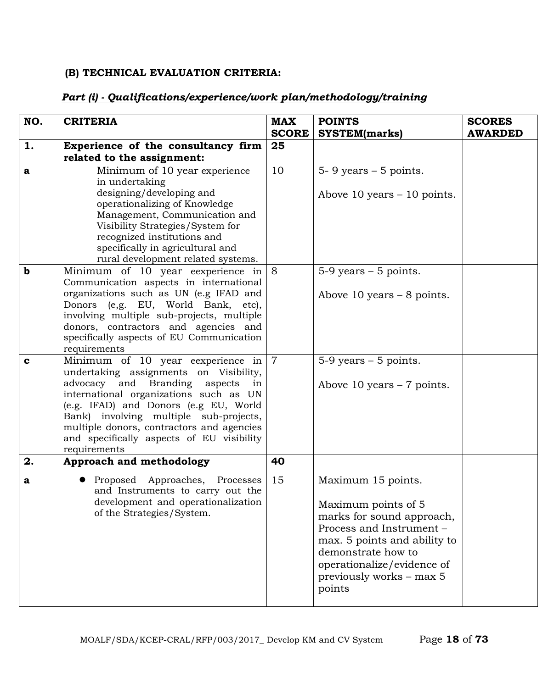## **(B) TECHNICAL EVALUATION CRITERIA:**

#### **NO. CRITERIA MAX SCORE POINTS SYSTEM(marks) SCORES AWARDED 1. Experience of the consultancy firm related to the assignment: 25 a** Minimum of 10 year experience in undertaking designing/developing and operationalizing of Knowledge Management, Communication and Visibility Strategies/System for recognized institutions and specifically in agricultural and rural development related systems. 10  $\vert$  5- 9 years – 5 points. Above 10 years – 10 points. **b** Minimum of 10 year eexperience in Communication aspects in international organizations such as UN (e.g IFAD and Donors (e,g. EU, World Bank, etc), involving multiple sub-projects, multiple donors, contractors and agencies and specifically aspects of EU Communication requirements 8  $\vert$  5-9 years – 5 points. Above 10 years – 8 points. **c** Minimum of 10 year eexperience in undertaking assignments on Visibility, advocacy and Branding aspects in international organizations such as UN (e.g. IFAD) and Donors (e.g EU, World Bank) involving multiple sub-projects, multiple donors, contractors and agencies and specifically aspects of EU visibility requirements  $7 \qquad 5-9 \text{ years} - 5 \text{ points}.$ Above 10 years – 7 points. **2. Approach and methodology 40 a e** Proposed Approaches, Processes and Instruments to carry out the development and operationalization of the Strategies/System. 15 Maximum 15 points. Maximum points of 5 marks for sound approach, Process and Instrument – max. 5 points and ability to demonstrate how to operationalize/evidence of previously works – max 5 points

## *Part (i) - Qualifications/experience/work plan/methodology/training*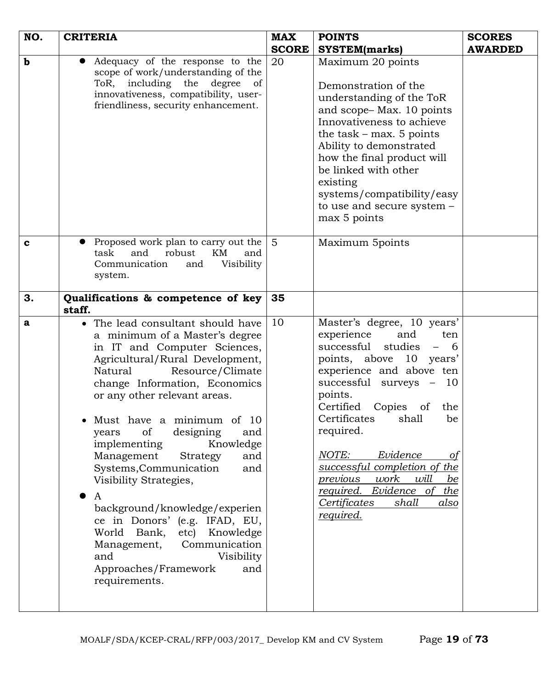| NO.         | <b>CRITERIA</b>                                                                                                                                                                                                                                                                                                                                                                                                                                                                                                                                                                                                                                  | <b>MAX</b>      | <b>POINTS</b>                                                                                                                                                                                                                                                                                                                                                                                                                                                                  | <b>SCORES</b>  |
|-------------|--------------------------------------------------------------------------------------------------------------------------------------------------------------------------------------------------------------------------------------------------------------------------------------------------------------------------------------------------------------------------------------------------------------------------------------------------------------------------------------------------------------------------------------------------------------------------------------------------------------------------------------------------|-----------------|--------------------------------------------------------------------------------------------------------------------------------------------------------------------------------------------------------------------------------------------------------------------------------------------------------------------------------------------------------------------------------------------------------------------------------------------------------------------------------|----------------|
|             |                                                                                                                                                                                                                                                                                                                                                                                                                                                                                                                                                                                                                                                  | <b>SCORE</b>    | <b>SYSTEM(marks)</b>                                                                                                                                                                                                                                                                                                                                                                                                                                                           | <b>AWARDED</b> |
| $\mathbf b$ | Adequacy of the response to the<br>scope of work/understanding of the<br>ToR, including the<br>degree<br>of<br>innovativeness, compatibility, user-<br>friendliness, security enhancement.                                                                                                                                                                                                                                                                                                                                                                                                                                                       | 20              | Maximum 20 points<br>Demonstration of the<br>understanding of the ToR<br>and scope-Max. 10 points<br>Innovativeness to achieve<br>the task $-$ max. 5 points<br>Ability to demonstrated<br>how the final product will<br>be linked with other<br>existing<br>systems/compatibility/easy<br>to use and secure system -<br>max 5 points                                                                                                                                          |                |
| $\mathbf c$ | Proposed work plan to carry out the<br>robust<br>task<br>and<br>KM<br>and<br>Communication<br>Visibility<br>and<br>system.                                                                                                                                                                                                                                                                                                                                                                                                                                                                                                                       | $5\overline{)}$ | Maximum 5points                                                                                                                                                                                                                                                                                                                                                                                                                                                                |                |
| 3.          | Qualifications & competence of key<br>staff.                                                                                                                                                                                                                                                                                                                                                                                                                                                                                                                                                                                                     | 35              |                                                                                                                                                                                                                                                                                                                                                                                                                                                                                |                |
| $\mathbf a$ | • The lead consultant should have<br>a minimum of a Master's degree<br>in IT and Computer Sciences,<br>Agricultural/Rural Development,<br>Natural<br>Resource/Climate<br>change Information, Economics<br>or any other relevant areas.<br>Must have a minimum of<br>-10<br>designing<br>of<br>and<br>years<br>implementing<br>Knowledge<br>Management<br>and<br>Strategy<br>Systems, Communication<br>and<br>Visibility Strategies,<br>A<br>background/knowledge/experien<br>ce in Donors' (e.g. IFAD, EU,<br>etc) Knowledge<br>World Bank,<br>Management,<br>Communication<br>Visibility<br>and<br>Approaches/Framework<br>and<br>requirements. | 10              | Master's degree, 10 years'<br>experience<br>and<br>ten<br>successful<br>studies<br>$\overline{\phantom{0}}$<br>- 6<br>points, above 10 years'<br>experience and above ten<br>successful surveys - 10<br>points.<br>Certified<br>Copies<br>of the<br>Certificates<br>shall<br>be<br>required.<br>NOTE:<br>Evidence<br>of<br>successful completion of the<br>work<br>will<br><i>previous</i><br>be<br>required. Evidence of<br>the<br>Certificates<br>shall<br>also<br>required. |                |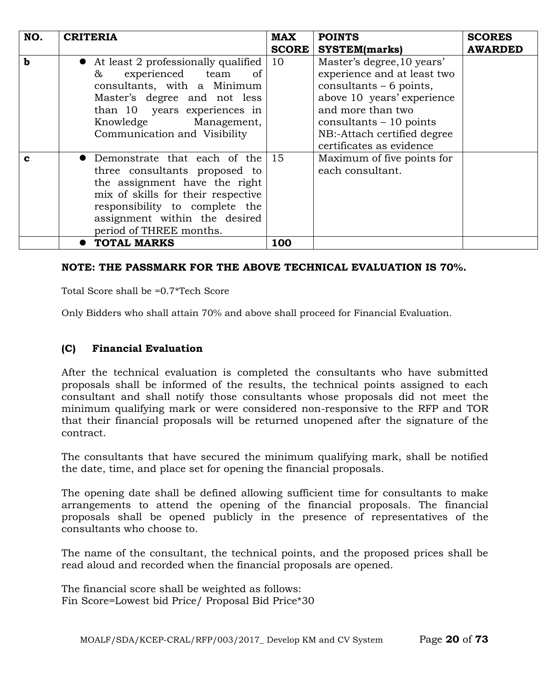| NO.         | <b>CRITERIA</b>                                                                                                                                                                                                                           | <b>MAX</b>   | <b>POINTS</b>                                                                                                                                                                                                                   | <b>SCORES</b>  |
|-------------|-------------------------------------------------------------------------------------------------------------------------------------------------------------------------------------------------------------------------------------------|--------------|---------------------------------------------------------------------------------------------------------------------------------------------------------------------------------------------------------------------------------|----------------|
|             |                                                                                                                                                                                                                                           | <b>SCORE</b> | <b>SYSTEM(marks)</b>                                                                                                                                                                                                            | <b>AWARDED</b> |
| $\mathbf b$ | • At least 2 professionally qualified<br>experienced team<br>&<br><sub>of</sub><br>consultants, with a Minimum<br>Master's degree and not less<br>than 10 years experiences in<br>Knowledge Management,<br>Communication and Visibility   | 10           | Master's degree, 10 years'<br>experience and at least two<br>consultants $-6$ points,<br>above 10 years' experience<br>and more than two<br>consultants $-10$ points<br>NB:-Attach certified degree<br>certificates as evidence |                |
| C           | • Demonstrate that each of the $15$<br>three consultants proposed to<br>the assignment have the right<br>mix of skills for their respective<br>responsibility to complete the<br>assignment within the desired<br>period of THREE months. |              | Maximum of five points for<br>each consultant.                                                                                                                                                                                  |                |
|             | <b>TOTAL MARKS</b>                                                                                                                                                                                                                        | 100          |                                                                                                                                                                                                                                 |                |

### **NOTE: THE PASSMARK FOR THE ABOVE TECHNICAL EVALUATION IS 70%.**

Total Score shall be =0.7\*Tech Score

Only Bidders who shall attain 70% and above shall proceed for Financial Evaluation.

### **(C) Financial Evaluation**

After the technical evaluation is completed the consultants who have submitted proposals shall be informed of the results, the technical points assigned to each consultant and shall notify those consultants whose proposals did not meet the minimum qualifying mark or were considered non-responsive to the RFP and TOR that their financial proposals will be returned unopened after the signature of the contract.

The consultants that have secured the minimum qualifying mark, shall be notified the date, time, and place set for opening the financial proposals.

The opening date shall be defined allowing sufficient time for consultants to make arrangements to attend the opening of the financial proposals. The financial proposals shall be opened publicly in the presence of representatives of the consultants who choose to.

The name of the consultant, the technical points, and the proposed prices shall be read aloud and recorded when the financial proposals are opened.

The financial score shall be weighted as follows: Fin Score=Lowest bid Price/ Proposal Bid Price\*30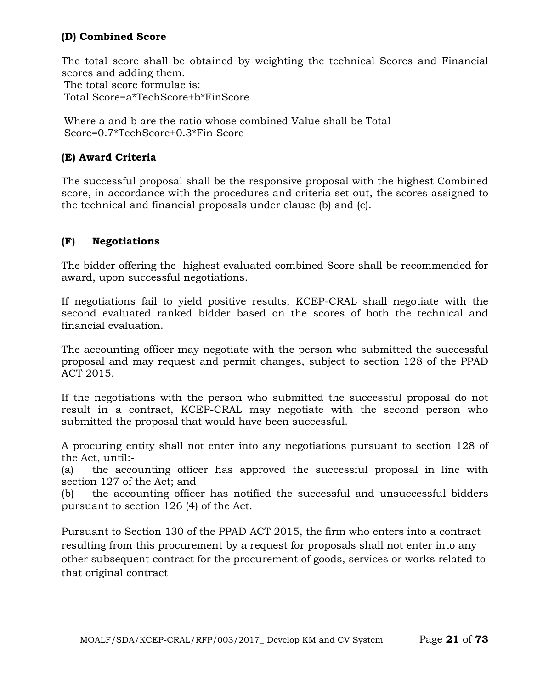## **(D) Combined Score**

The total score shall be obtained by weighting the technical Scores and Financial scores and adding them. The total score formulae is: Total Score=a\*TechScore+b\*FinScore

Where a and b are the ratio whose combined Value shall be Total Score=0.7\*TechScore+0.3\*Fin Score

## **(E) Award Criteria**

The successful proposal shall be the responsive proposal with the highest Combined score, in accordance with the procedures and criteria set out, the scores assigned to the technical and financial proposals under clause (b) and (c).

## **(F) Negotiations**

The bidder offering the highest evaluated combined Score shall be recommended for award, upon successful negotiations.

If negotiations fail to yield positive results, KCEP-CRAL shall negotiate with the second evaluated ranked bidder based on the scores of both the technical and financial evaluation.

The accounting officer may negotiate with the person who submitted the successful proposal and may request and permit changes, subject to section 128 of the PPAD ACT 2015.

If the negotiations with the person who submitted the successful proposal do not result in a contract, KCEP-CRAL may negotiate with the second person who submitted the proposal that would have been successful.

A procuring entity shall not enter into any negotiations pursuant to section 128 of the Act, until:-

(a) the accounting officer has approved the successful proposal in line with section 127 of the Act; and

(b) the accounting officer has notified the successful and unsuccessful bidders pursuant to section 126 (4) of the Act.

Pursuant to Section 130 of the PPAD ACT 2015, the firm who enters into a contract resulting from this procurement by a request for proposals shall not enter into any other subsequent contract for the procurement of goods, services or works related to that original contract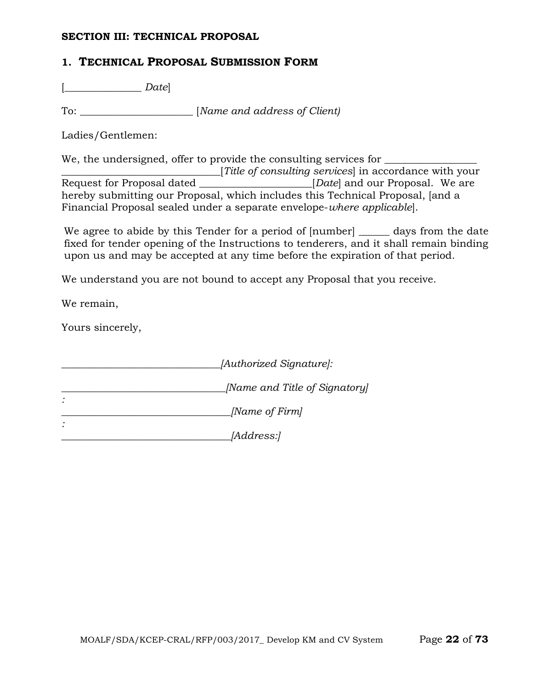#### **SECTION III: TECHNICAL PROPOSAL**

## **1. TECHNICAL PROPOSAL SUBMISSION FORM**

[\_\_\_\_\_\_\_\_\_\_\_\_\_\_\_ *Date*]

To: \_\_\_\_\_\_\_\_\_\_\_\_\_\_\_\_\_\_\_\_\_\_ [*Name and address of Client)*

Ladies/Gentlemen:

We, the undersigned, offer to provide the consulting services for

Title of consulting services in accordance with your<br>Request for Proposal dated [*Datel and our Proposal. We are ERequest for Proposal.* We are hereby submitting our Proposal, which includes this Technical Proposal, [and a Financial Proposal sealed under a separate envelope-*where applicable*].

We agree to abide by this Tender for a period of  $[number]$  and  $q$  days from the date fixed for tender opening of the Instructions to tenderers, and it shall remain binding upon us and may be accepted at any time before the expiration of that period.

We understand you are not bound to accept any Proposal that you receive.

We remain,

Yours sincerely,

| [Authorized Signature]:       |
|-------------------------------|
| [Name and Title of Signatory] |
| [Name of Firm]                |
| <i>[Address:]</i>             |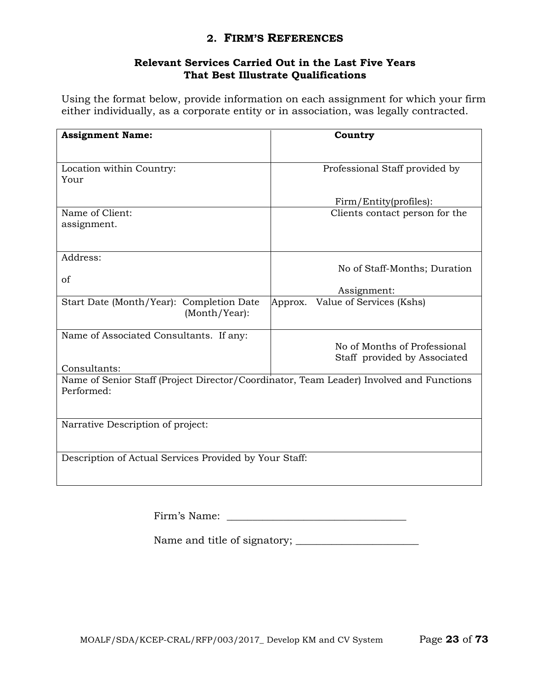## **2. FIRM'S REFERENCES**

### **Relevant Services Carried Out in the Last Five Years That Best Illustrate Qualifications**

Using the format below, provide information on each assignment for which your firm either individually, as a corporate entity or in association, was legally contracted.

| <b>Assignment Name:</b>                                                                 | Country                             |  |
|-----------------------------------------------------------------------------------------|-------------------------------------|--|
|                                                                                         |                                     |  |
|                                                                                         |                                     |  |
| Location within Country:                                                                | Professional Staff provided by      |  |
| Your                                                                                    |                                     |  |
|                                                                                         |                                     |  |
|                                                                                         | Firm/Entity(profiles):              |  |
| Name of Client:                                                                         | Clients contact person for the      |  |
| assignment.                                                                             |                                     |  |
|                                                                                         |                                     |  |
| Address:                                                                                |                                     |  |
|                                                                                         | No of Staff-Months; Duration        |  |
| of                                                                                      |                                     |  |
|                                                                                         | Assignment:                         |  |
| Start Date (Month/Year): Completion Date                                                | Value of Services (Kshs)<br>Approx. |  |
| (Month/Year):                                                                           |                                     |  |
|                                                                                         |                                     |  |
| Name of Associated Consultants. If any:                                                 |                                     |  |
|                                                                                         | No of Months of Professional        |  |
|                                                                                         | Staff provided by Associated        |  |
| Consultants:                                                                            |                                     |  |
| Name of Senior Staff (Project Director/Coordinator, Team Leader) Involved and Functions |                                     |  |
| Performed:                                                                              |                                     |  |
|                                                                                         |                                     |  |
| Narrative Description of project:                                                       |                                     |  |
|                                                                                         |                                     |  |
|                                                                                         |                                     |  |
| Description of Actual Services Provided by Your Staff:                                  |                                     |  |
|                                                                                         |                                     |  |
|                                                                                         |                                     |  |

Name and title of signatory; \_\_\_\_\_\_\_\_\_\_\_\_\_\_\_\_\_\_\_\_\_\_\_\_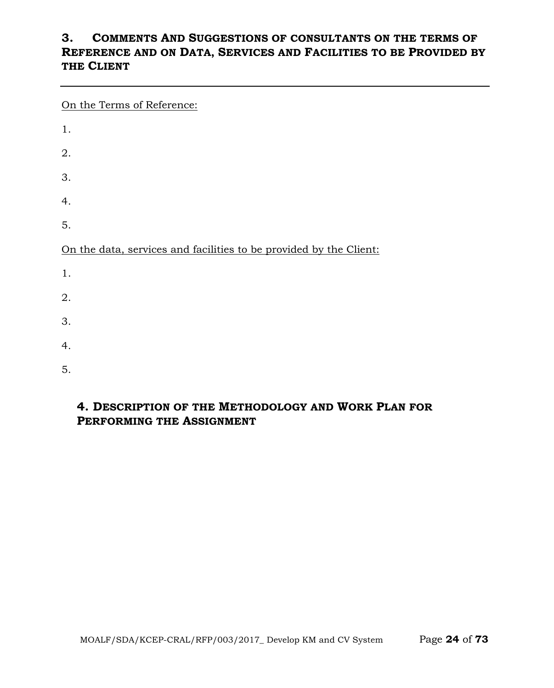## **3. COMMENTS AND SUGGESTIONS OF CONSULTANTS ON THE TERMS OF REFERENCE AND ON DATA, SERVICES AND FACILITIES TO BE PROVIDED BY THE CLIENT**

On the Terms of Reference:

| 1.                                                                 |
|--------------------------------------------------------------------|
| 2.                                                                 |
| 3.                                                                 |
| 4.                                                                 |
| 5.                                                                 |
| On the data, services and facilities to be provided by the Client: |
| 1.                                                                 |
| 2.                                                                 |
| 3.                                                                 |
| 4.                                                                 |
| 5.                                                                 |

## **4. DESCRIPTION OF THE METHODOLOGY AND WORK PLAN FOR PERFORMING THE ASSIGNMENT**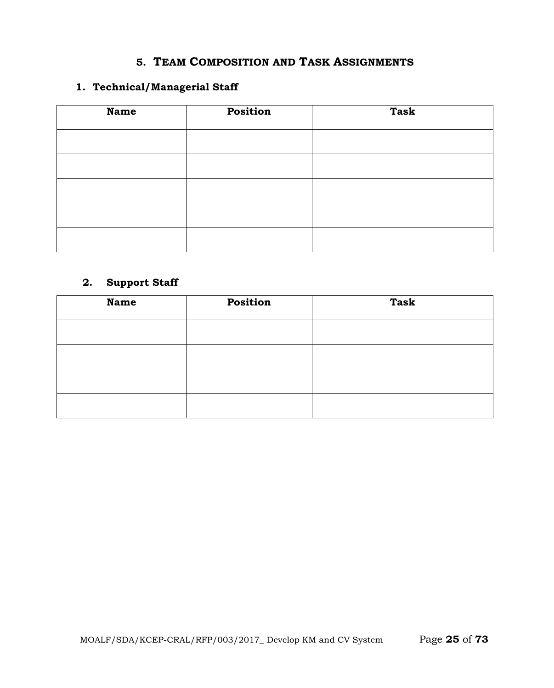## **5. TEAM COMPOSITION AND TASK ASSIGNMENTS**

## **1. Technical/Managerial Staff**

| <b>Name</b> | Position | <b>Task</b> |
|-------------|----------|-------------|
|             |          |             |
|             |          |             |
|             |          |             |
|             |          |             |
|             |          |             |
|             |          |             |

## **2. Support Staff**

| <b>Name</b> | Position | <b>Task</b> |
|-------------|----------|-------------|
|             |          |             |
|             |          |             |
|             |          |             |
|             |          |             |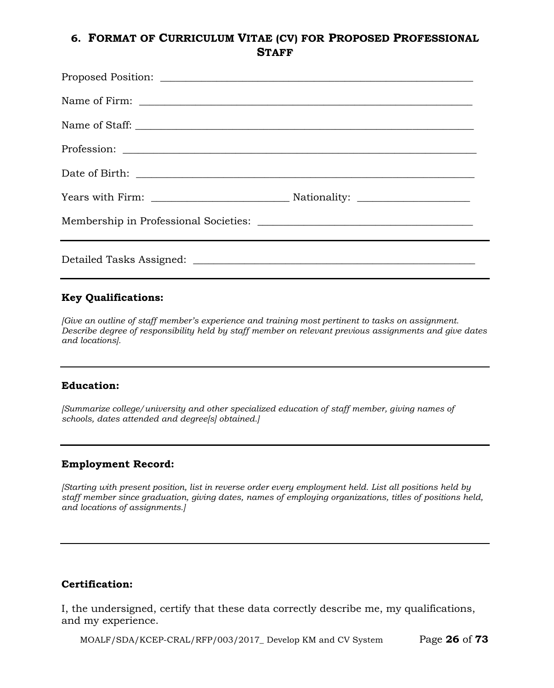## **6. FORMAT OF CURRICULUM VITAE (CV) FOR PROPOSED PROFESSIONAL STAFF**

#### **Key Qualifications:**

*[Give an outline of staff member's experience and training most pertinent to tasks on assignment. Describe degree of responsibility held by staff member on relevant previous assignments and give dates and locations].*

#### **Education:**

*[Summarize college/university and other specialized education of staff member, giving names of schools, dates attended and degree[s] obtained.]*

#### **Employment Record:**

*[Starting with present position, list in reverse order every employment held. List all positions held by staff member since graduation, giving dates, names of employing organizations, titles of positions held, and locations of assignments.]*

#### **Certification:**

I, the undersigned, certify that these data correctly describe me, my qualifications, and my experience.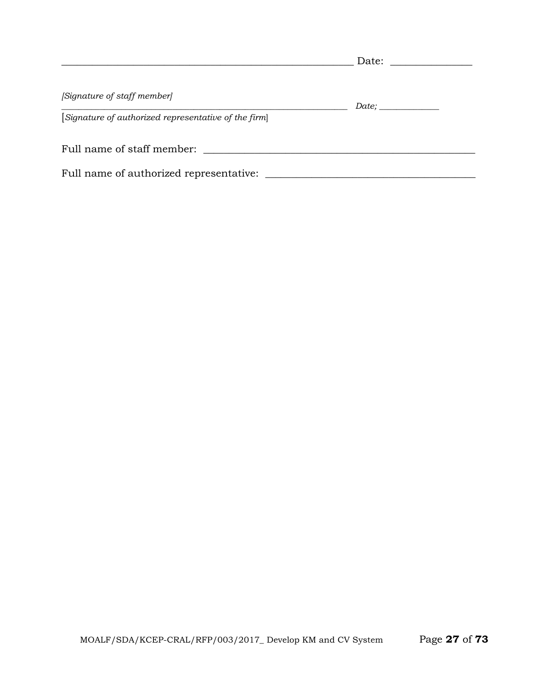|                                                      | Date: |  |
|------------------------------------------------------|-------|--|
| [Signature of staff member]                          |       |  |
| [Signature of authorized representative of the firm] |       |  |
| Full name of staff member:                           |       |  |
| Full name of authorized representative:              |       |  |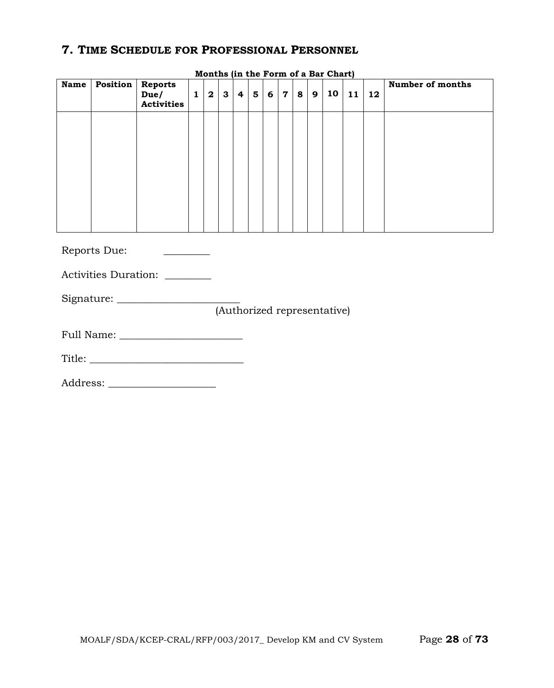## **7. TIME SCHEDULE FOR PROFESSIONAL PERSONNEL**

| <b>Name</b>                 | Position     | <b>Reports</b><br>Due/<br><b>Activities</b> | $\mathbf{1}$ | $\overline{\mathbf{2}}$ | $\mathbf{3}$ | 4 | 5 <sup>5</sup> | $6 \mid$ | $\overline{7}$ | 8 | 9 | 10 | 11 | 12 | <b>Number of months</b> |
|-----------------------------|--------------|---------------------------------------------|--------------|-------------------------|--------------|---|----------------|----------|----------------|---|---|----|----|----|-------------------------|
|                             |              |                                             |              |                         |              |   |                |          |                |   |   |    |    |    |                         |
|                             |              |                                             |              |                         |              |   |                |          |                |   |   |    |    |    |                         |
|                             |              |                                             |              |                         |              |   |                |          |                |   |   |    |    |    |                         |
|                             |              |                                             |              |                         |              |   |                |          |                |   |   |    |    |    |                         |
|                             | Reports Due: |                                             |              |                         |              |   |                |          |                |   |   |    |    |    |                         |
|                             |              | Activities Duration: ________               |              |                         |              |   |                |          |                |   |   |    |    |    |                         |
|                             |              |                                             |              |                         |              |   |                |          |                |   |   |    |    |    |                         |
| (Authorized representative) |              |                                             |              |                         |              |   |                |          |                |   |   |    |    |    |                         |
|                             |              |                                             |              |                         |              |   |                |          |                |   |   |    |    |    |                         |
|                             |              |                                             |              |                         |              |   |                |          |                |   |   |    |    |    |                         |

**Months (in the Form of a Bar Chart)**

Address: \_\_\_\_\_\_\_\_\_\_\_\_\_\_\_\_\_\_\_\_\_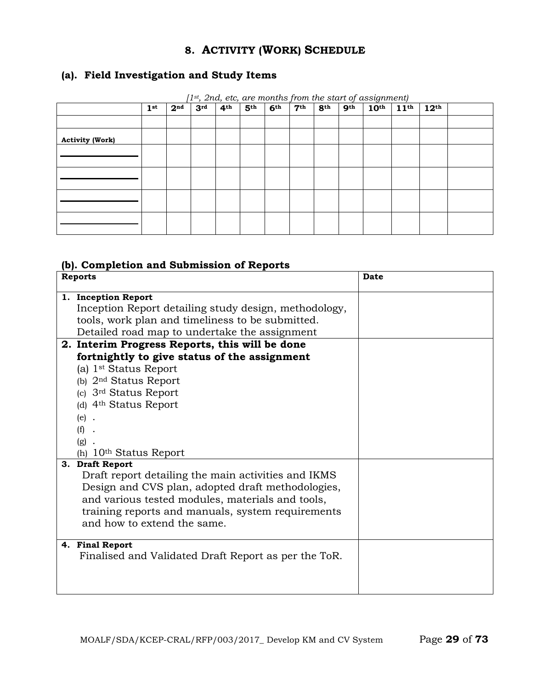## **8. ACTIVITY (WORK) SCHEDULE**

## **(a). Field Investigation and Study Items**

|                        | 2 <sup>nd</sup> | 3 <sup>rd</sup> | 4 <sup>th</sup> | 5 <sup>th</sup> | 6 <sup>th</sup> | 7 <sup>th</sup> | 8 <sup>th</sup> | 9 <sup>th</sup> | 1st, 2na, etc, are montris from the start of assignment)<br>10 <sup>th</sup> | $11^{\text{th}}$ | $12^{\text{th}}$ |  |  |
|------------------------|-----------------|-----------------|-----------------|-----------------|-----------------|-----------------|-----------------|-----------------|------------------------------------------------------------------------------|------------------|------------------|--|--|
|                        | 1 <sup>st</sup> |                 |                 |                 |                 |                 |                 |                 |                                                                              |                  |                  |  |  |
|                        |                 |                 |                 |                 |                 |                 |                 |                 |                                                                              |                  |                  |  |  |
| <b>Activity (Work)</b> |                 |                 |                 |                 |                 |                 |                 |                 |                                                                              |                  |                  |  |  |
|                        |                 |                 |                 |                 |                 |                 |                 |                 |                                                                              |                  |                  |  |  |
|                        |                 |                 |                 |                 |                 |                 |                 |                 |                                                                              |                  |                  |  |  |
|                        |                 |                 |                 |                 |                 |                 |                 |                 |                                                                              |                  |                  |  |  |
|                        |                 |                 |                 |                 |                 |                 |                 |                 |                                                                              |                  |                  |  |  |

*[1st, 2nd, etc, are months from the start of assignment)*

## **(b). Completion and Submission of Reports**

| <b>Reports</b>                                                                                        | <b>Date</b> |
|-------------------------------------------------------------------------------------------------------|-------------|
| 1. Inception Report                                                                                   |             |
| Inception Report detailing study design, methodology,                                                 |             |
| tools, work plan and timeliness to be submitted.                                                      |             |
| Detailed road map to undertake the assignment                                                         |             |
| 2. Interim Progress Reports, this will be done                                                        |             |
| fortnightly to give status of the assignment                                                          |             |
| (a) 1 <sup>st</sup> Status Report                                                                     |             |
| (b) $2nd$ Status Report                                                                               |             |
| (c) 3 <sup>rd</sup> Status Report                                                                     |             |
| (d) 4 <sup>th</sup> Status Report                                                                     |             |
| $(e)$ .                                                                                               |             |
| (f)                                                                                                   |             |
| (g)                                                                                                   |             |
| 10 <sup>th</sup> Status Report<br>(h)                                                                 |             |
| 3. Draft Report                                                                                       |             |
| Draft report detailing the main activities and IKMS                                                   |             |
| Design and CVS plan, adopted draft methodologies,<br>and various tested modules, materials and tools, |             |
|                                                                                                       |             |
| training reports and manuals, system requirements<br>and how to extend the same.                      |             |
|                                                                                                       |             |
| 4. Final Report                                                                                       |             |
| Finalised and Validated Draft Report as per the ToR.                                                  |             |
|                                                                                                       |             |
|                                                                                                       |             |
|                                                                                                       |             |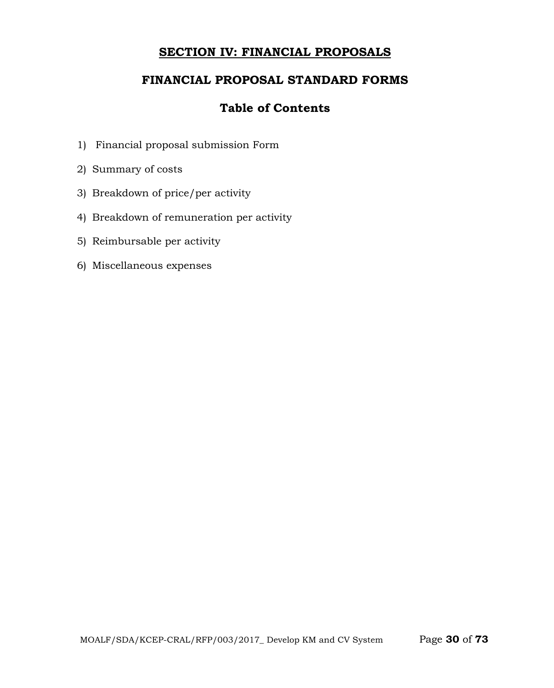## **SECTION IV: FINANCIAL PROPOSALS**

## **FINANCIAL PROPOSAL STANDARD FORMS**

## **Table of Contents**

- 1) Financial proposal submission Form
- 2) Summary of costs
- 3) Breakdown of price/per activity
- 4) Breakdown of remuneration per activity
- 5) Reimbursable per activity
- 6) Miscellaneous expenses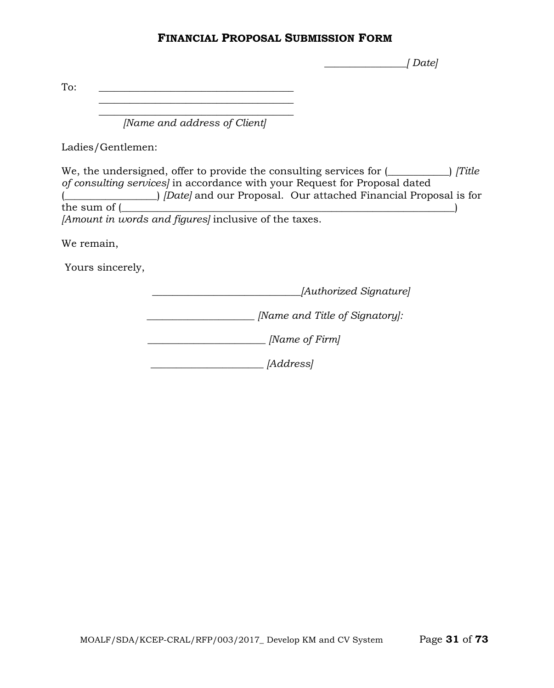### **FINANCIAL PROPOSAL SUBMISSION FORM**

 *\_\_\_\_\_\_\_\_\_\_\_\_\_\_\_\_[ Date]*

To:  $\qquad \qquad \overline{\qquad \qquad }$ 

 $\overline{\phantom{a}}$  , where the contract of the contract of the contract of the contract of the contract of the contract of the contract of the contract of the contract of the contract of the contract of the contract of the contr *[Name and address of Client]*

 $\mathcal{L}_\text{max}$  , and the set of the set of the set of the set of the set of the set of the set of the set of the set of the set of the set of the set of the set of the set of the set of the set of the set of the set of the

Ladies/Gentlemen:

We, the undersigned, offer to provide the consulting services for  $($ ——
i *[Title*] *of consulting services]* in accordance with your Request for Proposal dated (*Composed Courses and our Proposal.* Our attached Financial Proposal is for the sum of (*composed value*) the sum of (  $_\mathrm{eff}$  ) and (  $_\mathrm{eff}$  ) and (  $_\mathrm{eff}$  ) and (  $_\mathrm{eff}$  ) and (  $_\mathrm{eff}$ *[Amount in words and figures]* inclusive of the taxes.

We remain,

Yours sincerely,

 *\_\_\_\_\_\_\_\_\_\_\_\_\_\_\_\_\_\_\_\_\_\_\_\_\_\_\_\_\_[Authorized Signature]*

*\_\_\_\_\_\_\_\_\_\_\_\_\_\_\_\_\_\_\_\_\_ [Name and Title of Signatory]:*

 *\_\_\_\_\_\_\_\_\_\_\_\_\_\_\_\_\_\_\_\_\_\_\_ [Name of Firm]*

 *\_\_\_\_\_\_\_\_\_\_\_\_\_\_\_\_\_\_\_\_\_\_ [Address]*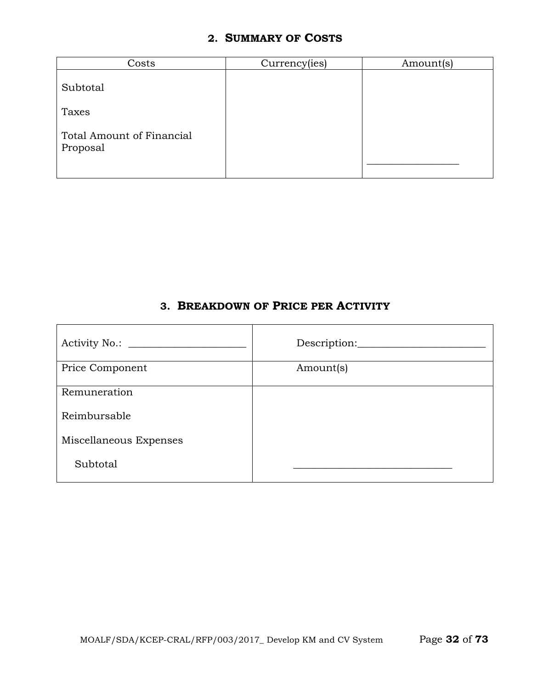## **2. SUMMARY OF COSTS**

| Costs                                        | Currency(ies) | Amount(s) |
|----------------------------------------------|---------------|-----------|
| Subtotal                                     |               |           |
| Taxes                                        |               |           |
| <b>Total Amount of Financial</b><br>Proposal |               |           |

## **3. BREAKDOWN OF PRICE PER ACTIVITY**

| Price Component        | Amount(s) |
|------------------------|-----------|
| Remuneration           |           |
| Reimbursable           |           |
| Miscellaneous Expenses |           |
| Subtotal               |           |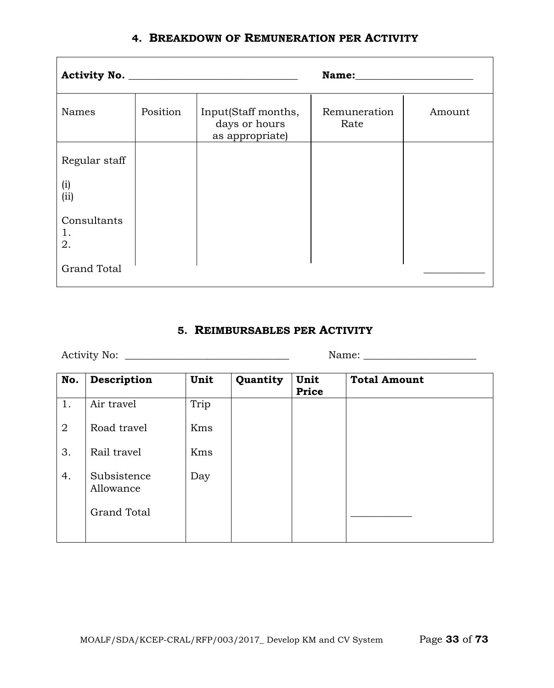|  |  |  | 4. BREAKDOWN OF REMUNERATION PER ACTIVITY |  |
|--|--|--|-------------------------------------------|--|
|--|--|--|-------------------------------------------|--|

|                         |          |                                                         | Name: Name           |        |
|-------------------------|----------|---------------------------------------------------------|----------------------|--------|
| Names                   | Position | Input(Staff months,<br>days or hours<br>as appropriate) | Remuneration<br>Rate | Amount |
| Regular staff           |          |                                                         |                      |        |
| (i)<br>(ii)             |          |                                                         |                      |        |
| Consultants<br>1.<br>2. |          |                                                         |                      |        |
| <b>Grand Total</b>      |          |                                                         |                      |        |

## **5. REIMBURSABLES PER ACTIVITY**

Activity No: \_\_\_\_\_\_\_\_\_\_\_\_\_\_\_\_\_\_\_\_\_\_\_\_\_\_\_\_\_\_\_\_ Name: \_\_\_\_\_\_\_\_\_\_\_\_\_\_\_\_\_\_\_\_\_\_

| No.            | Description              | Unit | Quantity | Unit<br>Price | <b>Total Amount</b> |
|----------------|--------------------------|------|----------|---------------|---------------------|
| 1.             | Air travel               | Trip |          |               |                     |
| $\overline{2}$ | Road travel              | Kms  |          |               |                     |
| 3.             | Rail travel              | Kms  |          |               |                     |
| 4.             | Subsistence<br>Allowance | Day  |          |               |                     |
|                | <b>Grand Total</b>       |      |          |               |                     |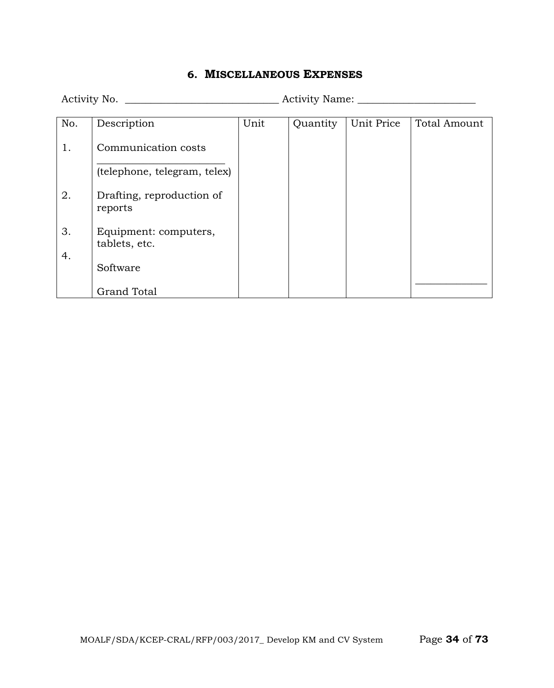### **6. MISCELLANEOUS EXPENSES**

Activity No. \_\_\_\_\_\_\_\_\_\_\_\_\_\_\_\_\_\_\_\_\_\_\_\_\_\_\_\_\_\_ Activity Name: \_\_\_\_\_\_\_\_\_\_\_\_\_\_\_\_\_\_\_\_\_\_\_ No. 1. 2. 3. 4. Description Communication costs  $\overline{\phantom{a}}$  , where  $\overline{\phantom{a}}$  , where  $\overline{\phantom{a}}$  , where  $\overline{\phantom{a}}$ (telephone, telegram, telex) Drafting, reproduction of reports Equipment: computers, tablets, etc. Software Grand Total Unit Quantity Unit Price Total Amount  $\overline{\phantom{a}}$  , where  $\overline{\phantom{a}}$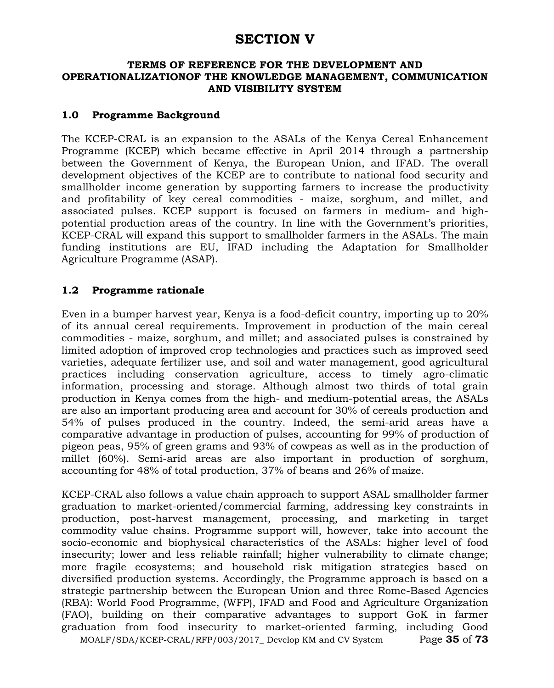## **SECTION V**

#### **TERMS OF REFERENCE FOR THE DEVELOPMENT AND OPERATIONALIZATIONOF THE KNOWLEDGE MANAGEMENT, COMMUNICATION AND VISIBILITY SYSTEM**

#### **1.0 Programme Background**

The KCEP-CRAL is an expansion to the ASALs of the Kenya Cereal Enhancement Programme (KCEP) which became effective in April 2014 through a partnership between the Government of Kenya, the European Union, and IFAD. The overall development objectives of the KCEP are to contribute to national food security and smallholder income generation by supporting farmers to increase the productivity and profitability of key cereal commodities - maize, sorghum, and millet, and associated pulses. KCEP support is focused on farmers in medium- and highpotential production areas of the country. In line with the Government's priorities, KCEP-CRAL will expand this support to smallholder farmers in the ASALs. The main funding institutions are EU, IFAD including the Adaptation for Smallholder Agriculture Programme (ASAP).

### **1.2 Programme rationale**

Even in a bumper harvest year, Kenya is a food-deficit country, importing up to 20% of its annual cereal requirements. Improvement in production of the main cereal commodities - maize, sorghum, and millet; and associated pulses is constrained by limited adoption of improved crop technologies and practices such as improved seed varieties, adequate fertilizer use, and soil and water management, good agricultural practices including conservation agriculture, access to timely agro-climatic information, processing and storage. Although almost two thirds of total grain production in Kenya comes from the high- and medium-potential areas, the ASALs are also an important producing area and account for 30% of cereals production and 54% of pulses produced in the country. Indeed, the semi-arid areas have a comparative advantage in production of pulses, accounting for 99% of production of pigeon peas, 95% of green grams and 93% of cowpeas as well as in the production of millet (60%). Semi-arid areas are also important in production of sorghum, accounting for 48% of total production, 37% of beans and 26% of maize.

KCEP-CRAL also follows a value chain approach to support ASAL smallholder farmer graduation to market-oriented/commercial farming, addressing key constraints in production, post-harvest management, processing, and marketing in target commodity value chains. Programme support will, however, take into account the socio-economic and biophysical characteristics of the ASALs: higher level of food insecurity; lower and less reliable rainfall; higher vulnerability to climate change; more fragile ecosystems; and household risk mitigation strategies based on diversified production systems. Accordingly, the Programme approach is based on a strategic partnership between the European Union and three Rome-Based Agencies (RBA): World Food Programme, (WFP), IFAD and Food and Agriculture Organization (FAO), building on their comparative advantages to support GoK in farmer graduation from food insecurity to market-oriented farming, including Good

MOALF/SDA/KCEP-CRAL/RFP/003/2017\_ Develop KM and CV System Page **35** of **73**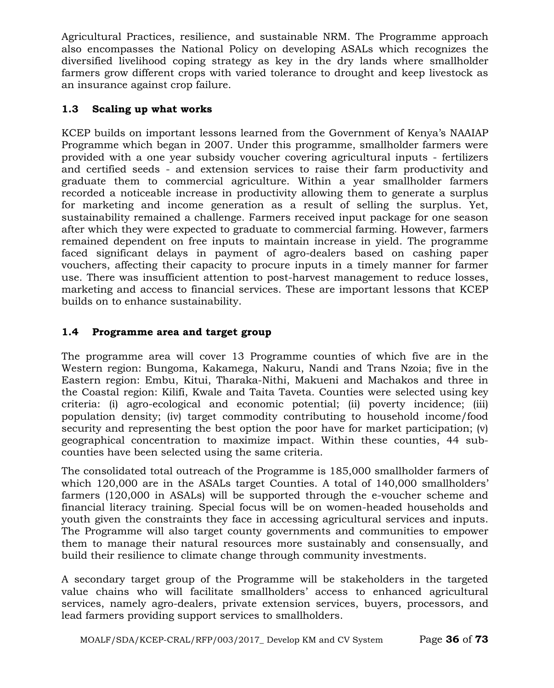Agricultural Practices, resilience, and sustainable NRM. The Programme approach also encompasses the National Policy on developing ASALs which recognizes the diversified livelihood coping strategy as key in the dry lands where smallholder farmers grow different crops with varied tolerance to drought and keep livestock as an insurance against crop failure.

## **1.3 Scaling up what works**

KCEP builds on important lessons learned from the Government of Kenya's NAAIAP Programme which began in 2007. Under this programme, smallholder farmers were provided with a one year subsidy voucher covering agricultural inputs - fertilizers and certified seeds - and extension services to raise their farm productivity and graduate them to commercial agriculture. Within a year smallholder farmers recorded a noticeable increase in productivity allowing them to generate a surplus for marketing and income generation as a result of selling the surplus. Yet, sustainability remained a challenge. Farmers received input package for one season after which they were expected to graduate to commercial farming. However, farmers remained dependent on free inputs to maintain increase in yield. The programme faced significant delays in payment of agro-dealers based on cashing paper vouchers, affecting their capacity to procure inputs in a timely manner for farmer use. There was insufficient attention to post-harvest management to reduce losses, marketing and access to financial services. These are important lessons that KCEP builds on to enhance sustainability.

## **1.4 Programme area and target group**

The programme area will cover 13 Programme counties of which five are in the Western region: Bungoma, Kakamega, Nakuru, Nandi and Trans Nzoia; five in the Eastern region: Embu, Kitui, Tharaka-Nithi, Makueni and Machakos and three in the Coastal region: Kilifi, Kwale and Taita Taveta. Counties were selected using key criteria: (i) agro-ecological and economic potential; (ii) poverty incidence; (iii) population density; (iv) target commodity contributing to household income/food security and representing the best option the poor have for market participation; (v) geographical concentration to maximize impact. Within these counties, 44 subcounties have been selected using the same criteria.

The consolidated total outreach of the Programme is 185,000 smallholder farmers of which 120,000 are in the ASALs target Counties. A total of 140,000 smallholders' farmers (120,000 in ASALs) will be supported through the e-voucher scheme and financial literacy training. Special focus will be on women-headed households and youth given the constraints they face in accessing agricultural services and inputs. The Programme will also target county governments and communities to empower them to manage their natural resources more sustainably and consensually, and build their resilience to climate change through community investments.

A secondary target group of the Programme will be stakeholders in the targeted value chains who will facilitate smallholders' access to enhanced agricultural services, namely agro-dealers, private extension services, buyers, processors, and lead farmers providing support services to smallholders.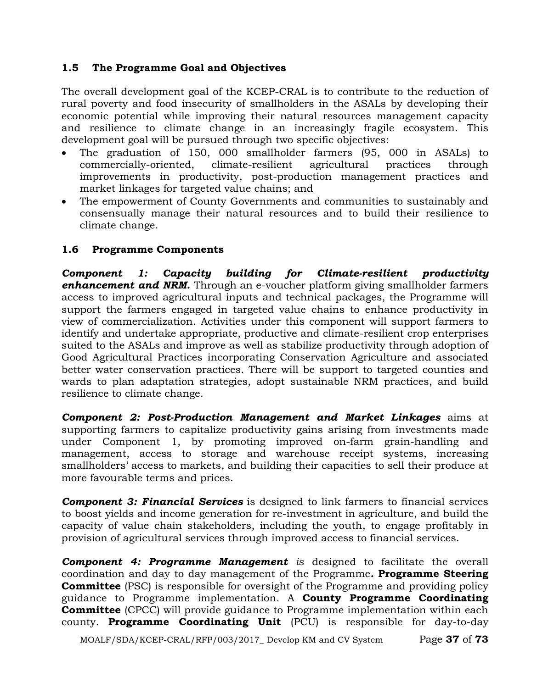### **1.5 The Programme Goal and Objectives**

The overall development goal of the KCEP-CRAL is to contribute to the reduction of rural poverty and food insecurity of smallholders in the ASALs by developing their economic potential while improving their natural resources management capacity and resilience to climate change in an increasingly fragile ecosystem. This development goal will be pursued through two specific objectives:

- The graduation of 150, 000 smallholder farmers (95, 000 in ASALs) to commercially-oriented, climate-resilient agricultural practices through improvements in productivity, post-production management practices and market linkages for targeted value chains; and
- The empowerment of County Governments and communities to sustainably and consensually manage their natural resources and to build their resilience to climate change.

### **1.6 Programme Components**

*Component 1: Capacity building for Climate-resilient productivity enhancement and NRM.* Through an e-voucher platform giving smallholder farmers access to improved agricultural inputs and technical packages, the Programme will support the farmers engaged in targeted value chains to enhance productivity in view of commercialization. Activities under this component will support farmers to identify and undertake appropriate, productive and climate-resilient crop enterprises suited to the ASALs and improve as well as stabilize productivity through adoption of Good Agricultural Practices incorporating Conservation Agriculture and associated better water conservation practices. There will be support to targeted counties and wards to plan adaptation strategies, adopt sustainable NRM practices, and build resilience to climate change.

*Component 2: Post-Production Management and Market Linkages* aims at supporting farmers to capitalize productivity gains arising from investments made under Component 1, by promoting improved on-farm grain-handling and management, access to storage and warehouse receipt systems, increasing smallholders' access to markets, and building their capacities to sell their produce at more favourable terms and prices.

*Component 3: Financial Services* is designed to link farmers to financial services to boost yields and income generation for re-investment in agriculture, and build the capacity of value chain stakeholders, including the youth, to engage profitably in provision of agricultural services through improved access to financial services.

*Component 4: Programme Management is* designed to facilitate the overall coordination and day to day management of the Programme*.* **Programme Steering Committee** (PSC) is responsible for oversight of the Programme and providing policy guidance to Programme implementation. A **County Programme Coordinating Committee** (CPCC) will provide guidance to Programme implementation within each county. **Programme Coordinating Unit** (PCU) is responsible for day-to-day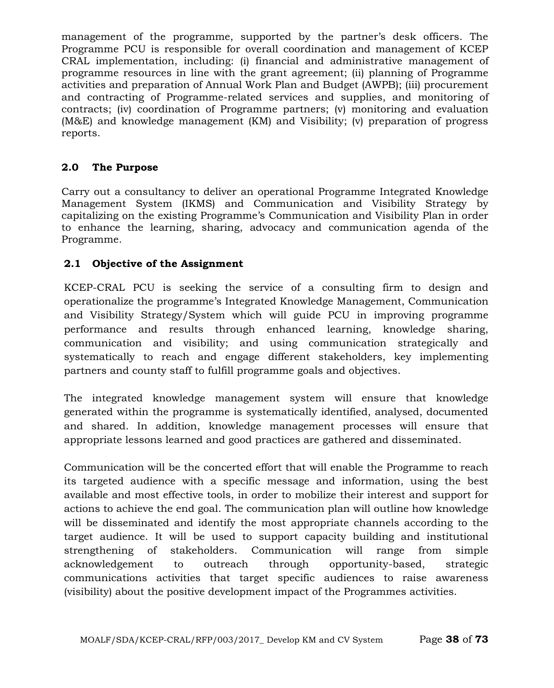management of the programme, supported by the partner's desk officers. The Programme PCU is responsible for overall coordination and management of KCEP CRAL implementation, including: (i) financial and administrative management of programme resources in line with the grant agreement; (ii) planning of Programme activities and preparation of Annual Work Plan and Budget (AWPB); (iii) procurement and contracting of Programme-related services and supplies, and monitoring of contracts; (iv) coordination of Programme partners; (v) monitoring and evaluation (M&E) and knowledge management (KM) and Visibility; (v) preparation of progress reports.

### **2.0 The Purpose**

Carry out a consultancy to deliver an operational Programme Integrated Knowledge Management System (IKMS) and Communication and Visibility Strategy by capitalizing on the existing Programme's Communication and Visibility Plan in order to enhance the learning, sharing, advocacy and communication agenda of the Programme.

### **2.1 Objective of the Assignment**

KCEP-CRAL PCU is seeking the service of a consulting firm to design and operationalize the programme's Integrated Knowledge Management, Communication and Visibility Strategy/System which will guide PCU in improving programme performance and results through enhanced learning, knowledge sharing, communication and visibility; and using communication strategically and systematically to reach and engage different stakeholders, key implementing partners and county staff to fulfill programme goals and objectives.

The integrated knowledge management system will ensure that knowledge generated within the programme is systematically identified, analysed, documented and shared. In addition, knowledge management processes will ensure that appropriate lessons learned and good practices are gathered and disseminated.

Communication will be the concerted effort that will enable the Programme to reach its targeted audience with a specific message and information, using the best available and most effective tools, in order to mobilize their interest and support for actions to achieve the end goal. The communication plan will outline how knowledge will be disseminated and identify the most appropriate channels according to the target audience. It will be used to support capacity building and institutional strengthening of stakeholders. Communication will range from simple acknowledgement to outreach through opportunity-based, strategic communications activities that target specific audiences to raise awareness (visibility) about the positive development impact of the Programmes activities.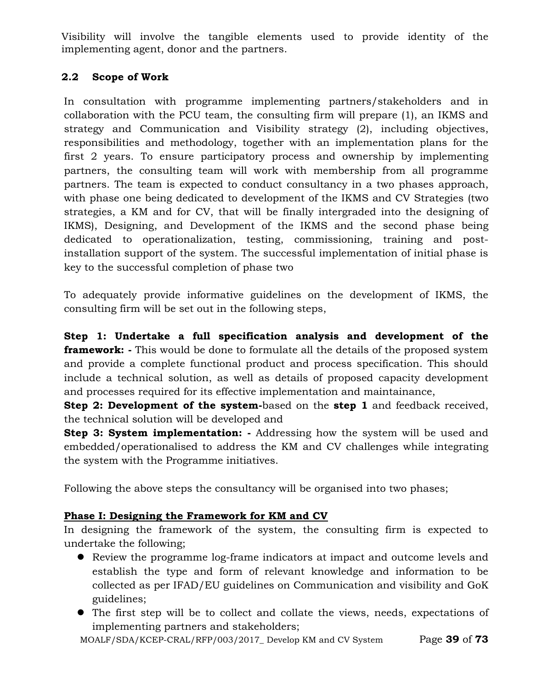Visibility will involve the tangible elements used to provide identity of the implementing agent, donor and the partners.

### **2.2 Scope of Work**

In consultation with programme implementing partners/stakeholders and in collaboration with the PCU team, the consulting firm will prepare (1), an IKMS and strategy and Communication and Visibility strategy (2), including objectives, responsibilities and methodology, together with an implementation plans for the first 2 years. To ensure participatory process and ownership by implementing partners, the consulting team will work with membership from all programme partners. The team is expected to conduct consultancy in a two phases approach, with phase one being dedicated to development of the IKMS and CV Strategies (two strategies, a KM and for CV, that will be finally intergraded into the designing of IKMS), Designing, and Development of the IKMS and the second phase being dedicated to operationalization, testing, commissioning, training and postinstallation support of the system. The successful implementation of initial phase is key to the successful completion of phase two

To adequately provide informative guidelines on the development of IKMS, the consulting firm will be set out in the following steps,

**Step 1: Undertake a full specification analysis and development of the framework: -** This would be done to formulate all the details of the proposed system and provide a complete functional product and process specification. This should include a technical solution, as well as details of proposed capacity development and processes required for its effective implementation and maintainance,

**Step 2: Development of the system-**based on the **step 1** and feedback received, the technical solution will be developed and

**Step 3: System implementation:** - Addressing how the system will be used and embedded/operationalised to address the KM and CV challenges while integrating the system with the Programme initiatives.

Following the above steps the consultancy will be organised into two phases;

### **Phase I: Designing the Framework for KM and CV**

In designing the framework of the system, the consulting firm is expected to undertake the following;

- Review the programme log-frame indicators at impact and outcome levels and establish the type and form of relevant knowledge and information to be collected as per IFAD/EU guidelines on Communication and visibility and GoK guidelines;
- The first step will be to collect and collate the views, needs, expectations of implementing partners and stakeholders;

MOALF/SDA/KCEP-CRAL/RFP/003/2017\_ Develop KM and CV System Page **39** of **73**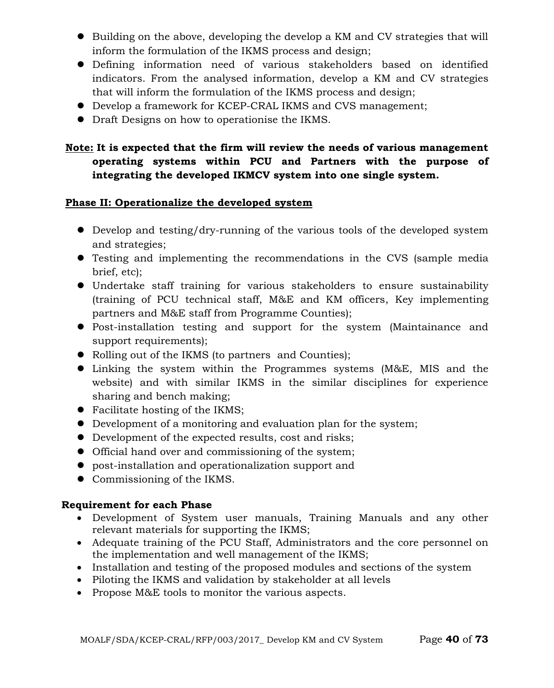- Building on the above, developing the develop a KM and CV strategies that will inform the formulation of the IKMS process and design;
- Defining information need of various stakeholders based on identified indicators. From the analysed information, develop a KM and CV strategies that will inform the formulation of the IKMS process and design;
- Develop a framework for KCEP-CRAL IKMS and CVS management;
- Draft Designs on how to operationise the IKMS.

### **Note: It is expected that the firm will review the needs of various management operating systems within PCU and Partners with the purpose of integrating the developed IKMCV system into one single system.**

### **Phase II: Operationalize the developed system**

- Develop and testing/dry-running of the various tools of the developed system and strategies;
- Testing and implementing the recommendations in the CVS (sample media brief, etc);
- Undertake staff training for various stakeholders to ensure sustainability (training of PCU technical staff, M&E and KM officers, Key implementing partners and M&E staff from Programme Counties);
- Post-installation testing and support for the system (Maintainance and support requirements);
- Rolling out of the IKMS (to partners and Counties);
- Linking the system within the Programmes systems (M&E, MIS and the website) and with similar IKMS in the similar disciplines for experience sharing and bench making;
- Facilitate hosting of the IKMS;
- Development of a monitoring and evaluation plan for the system;
- Development of the expected results, cost and risks;
- Official hand over and commissioning of the system;
- post-installation and operationalization support and
- Commissioning of the IKMS.

### **Requirement for each Phase**

- Development of System user manuals, Training Manuals and any other relevant materials for supporting the IKMS;
- Adequate training of the PCU Staff, Administrators and the core personnel on the implementation and well management of the IKMS;
- Installation and testing of the proposed modules and sections of the system
- Piloting the IKMS and validation by stakeholder at all levels
- Propose M&E tools to monitor the various aspects.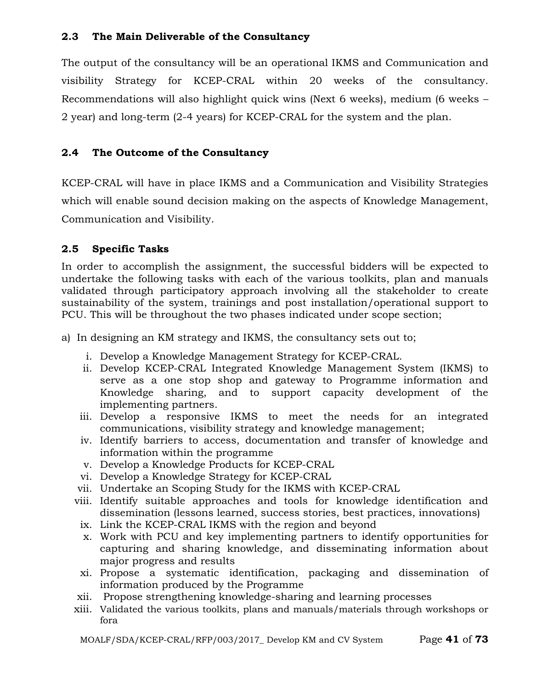### **2.3 The Main Deliverable of the Consultancy**

The output of the consultancy will be an operational IKMS and Communication and visibility Strategy for KCEP-CRAL within 20 weeks of the consultancy. Recommendations will also highlight quick wins (Next 6 weeks), medium (6 weeks – 2 year) and long-term (2-4 years) for KCEP-CRAL for the system and the plan.

### **2.4 The Outcome of the Consultancy**

KCEP-CRAL will have in place IKMS and a Communication and Visibility Strategies which will enable sound decision making on the aspects of Knowledge Management, Communication and Visibility.

### **2.5 Specific Tasks**

In order to accomplish the assignment, the successful bidders will be expected to undertake the following tasks with each of the various toolkits, plan and manuals validated through participatory approach involving all the stakeholder to create sustainability of the system, trainings and post installation/operational support to PCU. This will be throughout the two phases indicated under scope section;

- a) In designing an KM strategy and IKMS, the consultancy sets out to;
	- i. Develop a Knowledge Management Strategy for KCEP-CRAL.
	- ii. Develop KCEP-CRAL Integrated Knowledge Management System (IKMS) to serve as a one stop shop and gateway to Programme information and Knowledge sharing, and to support capacity development of the implementing partners.
	- iii. Develop a responsive IKMS to meet the needs for an integrated communications, visibility strategy and knowledge management;
	- iv. Identify barriers to access, documentation and transfer of knowledge and information within the programme
	- v. Develop a Knowledge Products for KCEP-CRAL
	- vi. Develop a Knowledge Strategy for KCEP-CRAL
	- vii. Undertake an Scoping Study for the IKMS with KCEP-CRAL
	- viii. Identify suitable approaches and tools for knowledge identification and dissemination (lessons learned, success stories, best practices, innovations)
		- ix. Link the KCEP-CRAL IKMS with the region and beyond
		- x. Work with PCU and key implementing partners to identify opportunities for capturing and sharing knowledge, and disseminating information about major progress and results
	- xi. Propose a systematic identification, packaging and dissemination of information produced by the Programme
	- xii. Propose strengthening knowledge-sharing and learning processes
	- xiii. Validated the various toolkits, plans and manuals/materials through workshops or fora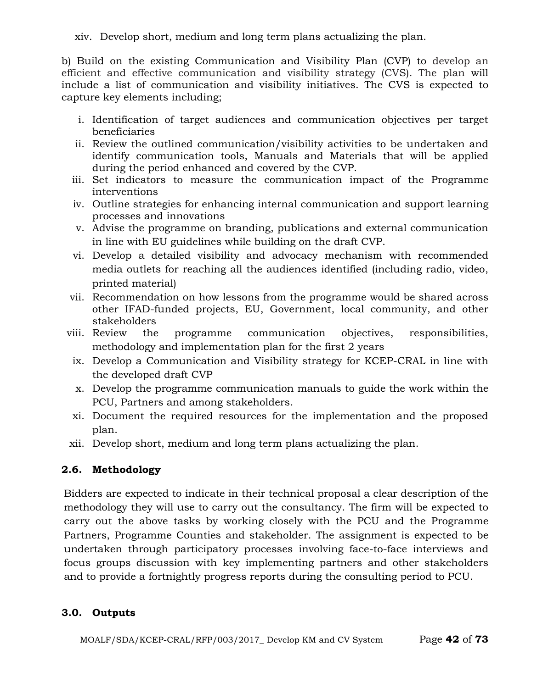b) Build on the existing Communication and Visibility Plan (CVP) to develop an efficient and effective communication and visibility strategy (CVS). The plan will include a list of communication and visibility initiatives. The CVS is expected to capture key elements including;

- i. Identification of target audiences and communication objectives per target beneficiaries
- ii. Review the outlined communication/visibility activities to be undertaken and identify communication tools, Manuals and Materials that will be applied during the period enhanced and covered by the CVP.
- iii. Set indicators to measure the communication impact of the Programme interventions
- iv. Outline strategies for enhancing internal communication and support learning processes and innovations
- v. Advise the programme on branding, publications and external communication in line with EU guidelines while building on the draft CVP.
- vi. Develop a detailed visibility and advocacy mechanism with recommended media outlets for reaching all the audiences identified (including radio, video, printed material)
- vii. Recommendation on how lessons from the programme would be shared across other IFAD-funded projects, EU, Government, local community, and other stakeholders
- viii. Review the programme communication objectives, responsibilities, methodology and implementation plan for the first 2 years
	- ix. Develop a Communication and Visibility strategy for KCEP-CRAL in line with the developed draft CVP
	- x. Develop the programme communication manuals to guide the work within the PCU, Partners and among stakeholders.
	- xi. Document the required resources for the implementation and the proposed plan.
- xii. Develop short, medium and long term plans actualizing the plan.

### **2.6. Methodology**

Bidders are expected to indicate in their technical proposal a clear description of the methodology they will use to carry out the consultancy. The firm will be expected to carry out the above tasks by working closely with the PCU and the Programme Partners, Programme Counties and stakeholder. The assignment is expected to be undertaken through participatory processes involving face-to-face interviews and focus groups discussion with key implementing partners and other stakeholders and to provide a fortnightly progress reports during the consulting period to PCU.

### **3.0. Outputs**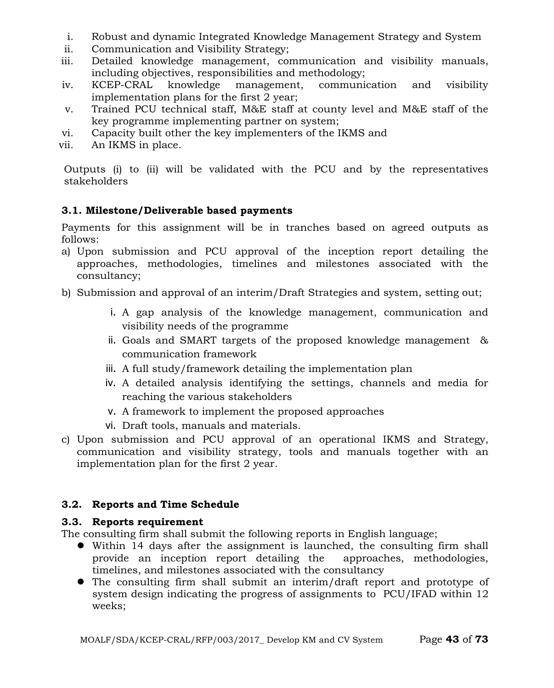- i. Robust and dynamic Integrated Knowledge Management Strategy and System
- ii. Communication and Visibility Strategy;
- iii. Detailed knowledge management, communication and visibility manuals, including objectives, responsibilities and methodology;
- iv. KCEP-CRAL knowledge management, communication and visibility implementation plans for the first 2 year;
- v. Trained PCU technical staff, M&E staff at county level and M&E staff of the key programme implementing partner on system;
- vi. Capacity built other the key implementers of the IKMS and
- vii. An IKMS in place.

Outputs (i) to (ii) will be validated with the PCU and by the representatives stakeholders

### **3.1. Milestone/Deliverable based payments**

Payments for this assignment will be in tranches based on agreed outputs as follows:

- a) Upon submission and PCU approval of the inception report detailing the approaches, methodologies, timelines and milestones associated with the consultancy;
- b) Submission and approval of an interim/Draft Strategies and system, setting out;
	- i. A gap analysis of the knowledge management, communication and visibility needs of the programme
	- ii. Goals and SMART targets of the proposed knowledge management & communication framework
	- iii. A full study/framework detailing the implementation plan
	- iv. A detailed analysis identifying the settings, channels and media for reaching the various stakeholders
	- v. A framework to implement the proposed approaches
	- vi. Draft tools, manuals and materials.
- c) Upon submission and PCU approval of an operational IKMS and Strategy, communication and visibility strategy, tools and manuals together with an implementation plan for the first 2 year.

### **3.2. Reports and Time Schedule**

### **3.3. Reports requirement**

The consulting firm shall submit the following reports in English language;

- Within 14 days after the assignment is launched, the consulting firm shall provide an inception report detailing the approaches, methodologies, timelines, and milestones associated with the consultancy
- The consulting firm shall submit an interim/draft report and prototype of system design indicating the progress of assignments to PCU/IFAD within 12 weeks;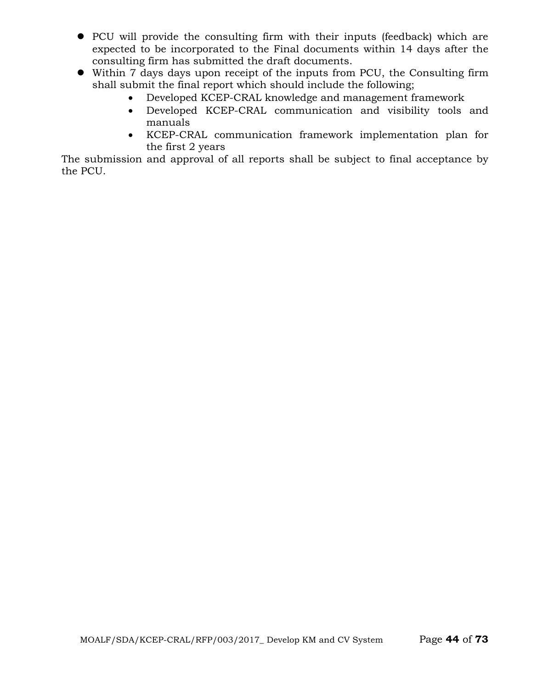- PCU will provide the consulting firm with their inputs (feedback) which are expected to be incorporated to the Final documents within 14 days after the consulting firm has submitted the draft documents.
- Within 7 days days upon receipt of the inputs from PCU, the Consulting firm shall submit the final report which should include the following;
	- Developed KCEP-CRAL knowledge and management framework
	- Developed KCEP-CRAL communication and visibility tools and manuals
	- KCEP-CRAL communication framework implementation plan for the first 2 years

The submission and approval of all reports shall be subject to final acceptance by the PCU.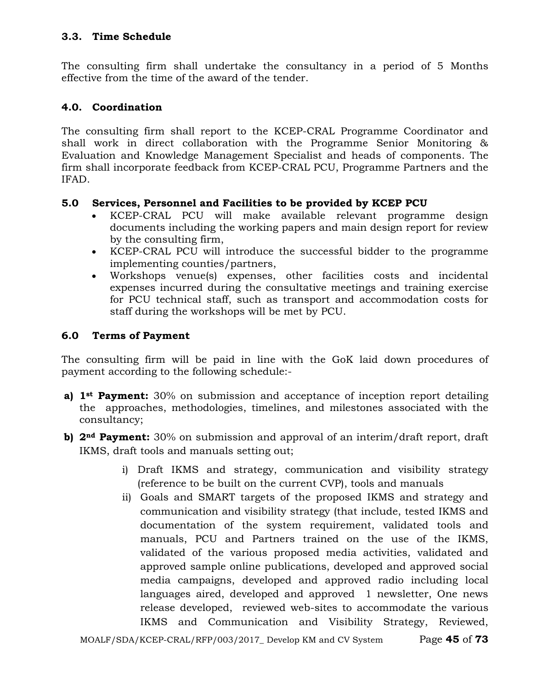### **3.3. Time Schedule**

The consulting firm shall undertake the consultancy in a period of 5 Months effective from the time of the award of the tender.

### **4.0. Coordination**

The consulting firm shall report to the KCEP-CRAL Programme Coordinator and shall work in direct collaboration with the Programme Senior Monitoring & Evaluation and Knowledge Management Specialist and heads of components. The firm shall incorporate feedback from KCEP-CRAL PCU, Programme Partners and the IFAD.

### **5.0 Services, Personnel and Facilities to be provided by KCEP PCU**

- KCEP-CRAL PCU will make available relevant programme design documents including the working papers and main design report for review by the consulting firm,
- KCEP-CRAL PCU will introduce the successful bidder to the programme implementing counties/partners,
- Workshops venue(s) expenses, other facilities costs and incidental expenses incurred during the consultative meetings and training exercise for PCU technical staff, such as transport and accommodation costs for staff during the workshops will be met by PCU.

### **6.0 Terms of Payment**

The consulting firm will be paid in line with the GoK laid down procedures of payment according to the following schedule:-

- **a) 1st Payment:** 30% on submission and acceptance of inception report detailing the approaches, methodologies, timelines, and milestones associated with the consultancy;
- **b) 2nd Payment:** 30% on submission and approval of an interim/draft report, draft IKMS, draft tools and manuals setting out;
	- i) Draft IKMS and strategy, communication and visibility strategy (reference to be built on the current CVP), tools and manuals
	- ii) Goals and SMART targets of the proposed IKMS and strategy and communication and visibility strategy (that include, tested IKMS and documentation of the system requirement, validated tools and manuals, PCU and Partners trained on the use of the IKMS, validated of the various proposed media activities, validated and approved sample online publications, developed and approved social media campaigns, developed and approved radio including local languages aired, developed and approved 1 newsletter, One news release developed, reviewed web-sites to accommodate the various IKMS and Communication and Visibility Strategy, Reviewed,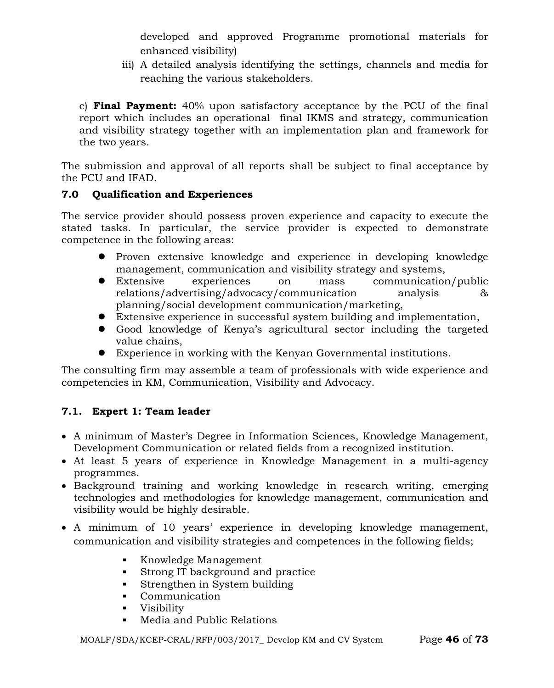developed and approved Programme promotional materials for enhanced visibility)

iii) A detailed analysis identifying the settings, channels and media for reaching the various stakeholders.

c) **Final Payment:** 40% upon satisfactory acceptance by the PCU of the final report which includes an operational final IKMS and strategy, communication and visibility strategy together with an implementation plan and framework for the two years.

The submission and approval of all reports shall be subject to final acceptance by the PCU and IFAD.

### **7.0 Qualification and Experiences**

The service provider should possess proven experience and capacity to execute the stated tasks. In particular, the service provider is expected to demonstrate competence in the following areas:

- Proven extensive knowledge and experience in developing knowledge management, communication and visibility strategy and systems,
- Extensive experiences on mass communication/public relations/advertising/advocacy/communication analysis & planning/social development communication/marketing,
- Extensive experience in successful system building and implementation,
- Good knowledge of Kenya's agricultural sector including the targeted value chains,
- Experience in working with the Kenyan Governmental institutions.

The consulting firm may assemble a team of professionals with wide experience and competencies in KM, Communication, Visibility and Advocacy.

### **7.1. Expert 1: Team leader**

- A minimum of Master's Degree in Information Sciences, Knowledge Management, Development Communication or related fields from a recognized institution.
- At least 5 years of experience in Knowledge Management in a multi-agency programmes.
- Background training and working knowledge in research writing, emerging technologies and methodologies for knowledge management, communication and visibility would be highly desirable.
- A minimum of 10 years' experience in developing knowledge management, communication and visibility strategies and competences in the following fields;
	- Knowledge Management
	- Strong IT background and practice
	- Strengthen in System building
	- Communication
	- Visibility
	- Media and Public Relations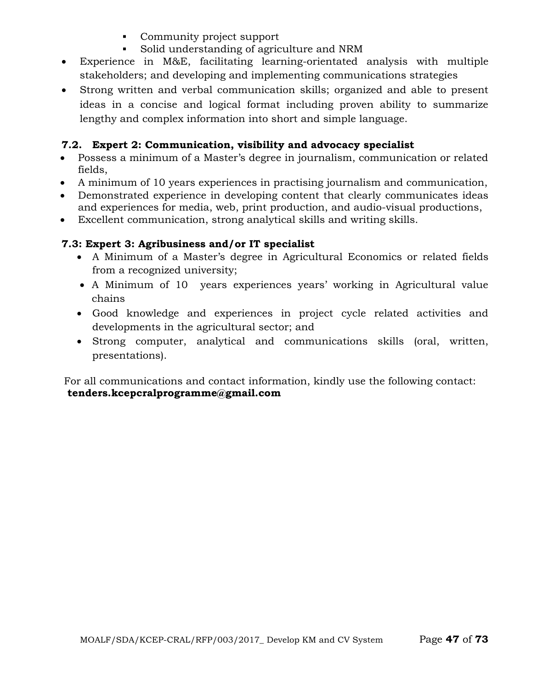- Community project support
- Solid understanding of agriculture and NRM
- Experience in M&E, facilitating learning-orientated analysis with multiple stakeholders; and developing and implementing communications strategies
- Strong written and verbal communication skills; organized and able to present ideas in a concise and logical format including proven ability to summarize lengthy and complex information into short and simple language.

### **7.2. Expert 2: Communication, visibility and advocacy specialist**

- Possess a minimum of a Master's degree in journalism, communication or related fields,
- A minimum of 10 years experiences in practising journalism and communication,
- Demonstrated experience in developing content that clearly communicates ideas and experiences for media, web, print production, and audio-visual productions,
- Excellent communication, strong analytical skills and writing skills.

### **7.3: Expert 3: Agribusiness and/or IT specialist**

- A Minimum of a Master's degree in Agricultural Economics or related fields from a recognized university;
- A Minimum of 10 years experiences years' working in Agricultural value chains
- Good knowledge and experiences in project cycle related activities and developments in the agricultural sector; and
- Strong computer, analytical and communications skills (oral, written, presentations).

For all communications and contact information, kindly use the following contact: **tenders.kcepcralprogramme@gmail.com**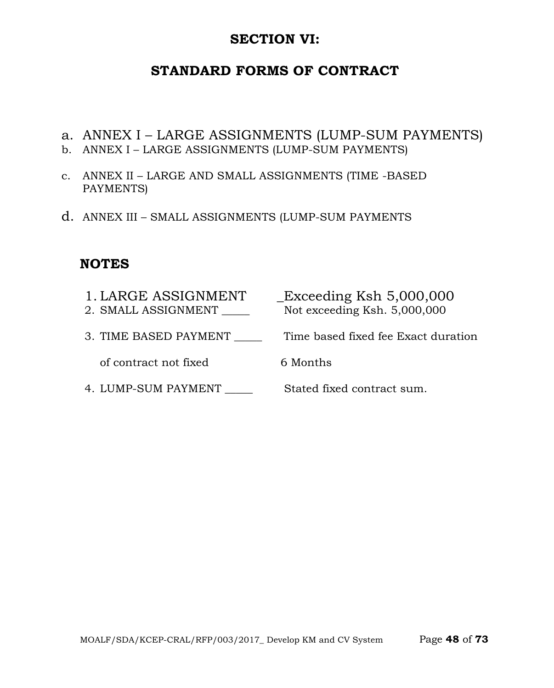### **SECTION VI:**

## **STANDARD FORMS OF CONTRACT**

- a. ANNEX I LARGE ASSIGNMENTS (LUMP-SUM PAYMENTS)
- b. ANNEX I LARGE ASSIGNMENTS (LUMP-SUM PAYMENTS)
- c. ANNEX II LARGE AND SMALL ASSIGNMENTS (TIME -BASED PAYMENTS)
- d. ANNEX III SMALL ASSIGNMENTS (LUMP-SUM PAYMENTS

# **NOTES**

| 1. LARGE ASSIGNMENT<br>2. SMALL ASSIGNMENT | $\text{\_}Exceeding$ Ksh 5,000,000<br>Not exceeding Ksh. 5,000,000 |
|--------------------------------------------|--------------------------------------------------------------------|
| 3. TIME BASED PAYMENT                      | Time based fixed fee Exact duration                                |
| of contract not fixed                      | 6 Months                                                           |
| 4. LUMP-SUM PAYMENT                        | Stated fixed contract sum.                                         |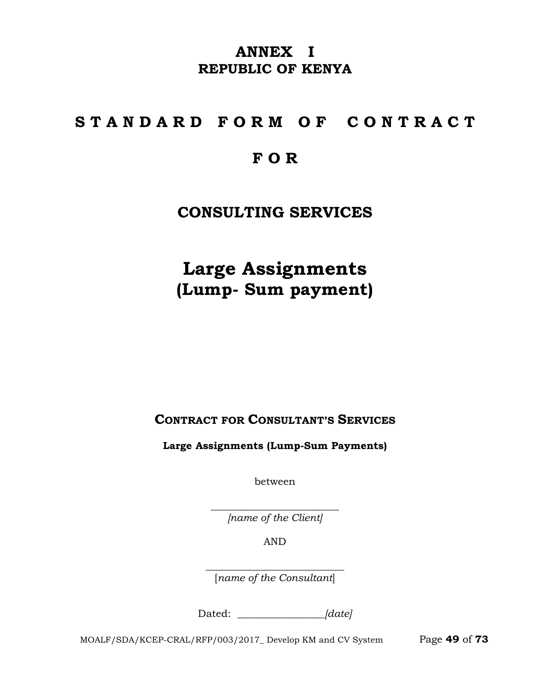# **ANNEX I REPUBLIC OF KENYA**

# **S T A N D A R D F O R M O F C O N T R A C T**

# **F O R**

# **CONSULTING SERVICES**

**Large Assignments (Lump- Sum payment)**

**CONTRACT FOR CONSULTANT'S SERVICES**

**Large Assignments (Lump-Sum Payments)**

between

 $\overline{\phantom{a}}$  , where  $\overline{\phantom{a}}$  , where  $\overline{\phantom{a}}$  , where  $\overline{\phantom{a}}$  , where  $\overline{\phantom{a}}$ *[name of the Client]*

AND

 $\overline{\phantom{a}}$  , where  $\overline{\phantom{a}}$  , where  $\overline{\phantom{a}}$  , where  $\overline{\phantom{a}}$  ,  $\overline{\phantom{a}}$  ,  $\overline{\phantom{a}}$  ,  $\overline{\phantom{a}}$  ,  $\overline{\phantom{a}}$  ,  $\overline{\phantom{a}}$  ,  $\overline{\phantom{a}}$  ,  $\overline{\phantom{a}}$  ,  $\overline{\phantom{a}}$  ,  $\overline{\phantom{a}}$  ,  $\overline{\phantom{a}}$  ,  $\overline{\phantom$ [*name of the Consultant*]

Dated: *\_\_\_\_\_\_\_\_\_\_\_\_\_\_\_\_\_[date]*

MOALF/SDA/KCEP-CRAL/RFP/003/2017\_ Develop KM and CV System Page **49** of **73**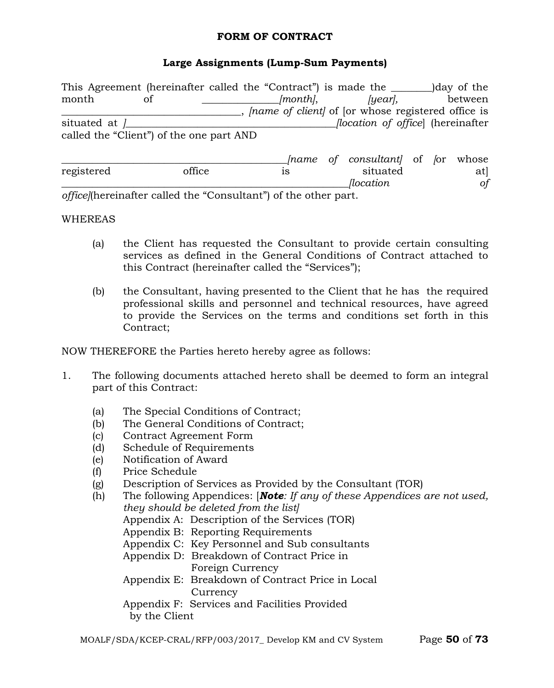#### **FORM OF CONTRACT**

### **Large Assignments (Lump-Sum Payments)**

This Agreement (hereinafter called the "Contract") is made the allergies of the month of *[month]*, *[year]*, between \_\_\_\_\_\_\_\_\_\_\_\_\_\_\_\_\_\_\_\_\_\_\_\_\_\_\_\_\_\_\_\_\_\_\_, *[name of client]* of [or whose registered office is situated at *]\_\_\_\_\_\_\_\_\_\_\_\_\_\_\_\_\_\_\_\_\_\_\_\_\_\_\_\_\_\_\_\_\_\_\_\_\_\_\_\_\_[location of office*] (hereinafter called the "Client") of the one part AND \_\_\_\_\_\_\_\_\_\_\_\_\_\_\_\_\_\_\_\_\_\_\_\_\_\_\_\_\_\_\_\_\_\_\_\_\_\_\_\_\_\_\_\_*[name of consultant]* of *[*or whose registered office is situated at] *\_\_\_\_\_\_\_\_\_\_\_\_\_\_\_\_\_\_\_\_\_\_\_\_\_\_\_\_\_\_\_\_\_\_\_\_\_\_\_\_\_\_\_\_\_\_\_\_\_\_\_\_\_\_\_\_[location of* 

*office]*(hereinafter called the "Consultant") of the other part.

#### WHEREAS

- (a) the Client has requested the Consultant to provide certain consulting services as defined in the General Conditions of Contract attached to this Contract (hereinafter called the "Services");
- (b) the Consultant, having presented to the Client that he has the required professional skills and personnel and technical resources, have agreed to provide the Services on the terms and conditions set forth in this Contract;

NOW THEREFORE the Parties hereto hereby agree as follows:

- 1. The following documents attached hereto shall be deemed to form an integral part of this Contract:
	- (a) The Special Conditions of Contract;
	- (b) The General Conditions of Contract;
	- (c) Contract Agreement Form
	- (d) Schedule of Requirements
	- (e) Notification of Award
	- (f) Price Schedule
	- (g) Description of Services as Provided by the Consultant (TOR)
	- (h) The following Appendices: [*Note: If any of these Appendices are not used, they should be deleted from the list]* Appendix A: Description of the Services (TOR) Appendix B: Reporting Requirements Appendix C: Key Personnel and Sub consultants Appendix D: Breakdown of Contract Price in Foreign Currency Appendix E: Breakdown of Contract Price in Local **Currency** Appendix F: Services and Facilities Provided by the Client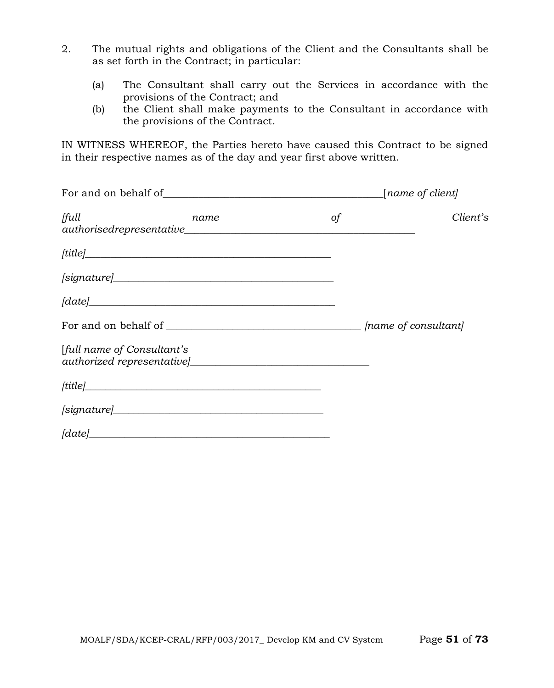- 2. The mutual rights and obligations of the Client and the Consultants shall be as set forth in the Contract; in particular:
	- (a) The Consultant shall carry out the Services in accordance with the provisions of the Contract; and
	- (b) the Client shall make payments to the Consultant in accordance with the provisions of the Contract.

IN WITNESS WHEREOF, the Parties hereto have caused this Contract to be signed in their respective names as of the day and year first above written.

| full<br>name                                 | of | Client's |  |  |  |
|----------------------------------------------|----|----------|--|--|--|
| $[title] \_$                                 |    |          |  |  |  |
|                                              |    |          |  |  |  |
| $\emph{[date]}\label{[date]}\vspace{-0.1in}$ |    |          |  |  |  |
|                                              |    |          |  |  |  |
| [full name of Consultant's                   |    |          |  |  |  |
|                                              |    |          |  |  |  |
|                                              |    |          |  |  |  |
| $\lceil date \rceil$                         |    |          |  |  |  |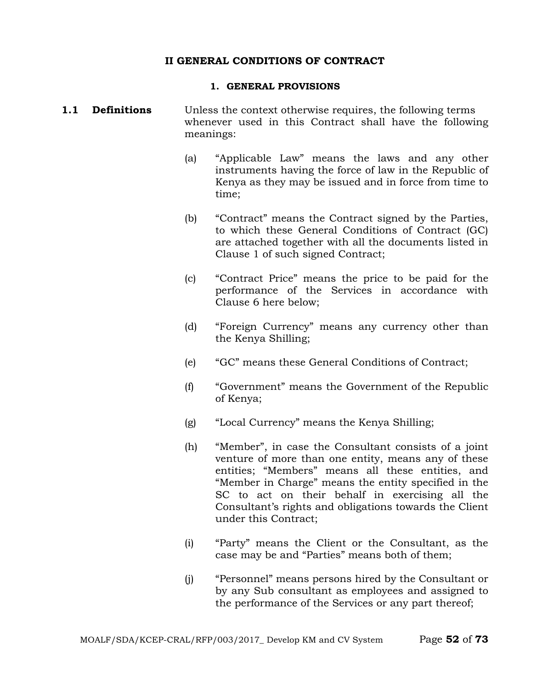#### **II GENERAL CONDITIONS OF CONTRACT**

#### **1. GENERAL PROVISIONS**

#### **1.1 Definitions** Unless the context otherwise requires, the following terms whenever used in this Contract shall have the following meanings:

- (a) "Applicable Law" means the laws and any other instruments having the force of law in the Republic of Kenya as they may be issued and in force from time to time;
- (b) "Contract" means the Contract signed by the Parties, to which these General Conditions of Contract (GC) are attached together with all the documents listed in Clause 1 of such signed Contract;
- (c) "Contract Price" means the price to be paid for the performance of the Services in accordance with Clause 6 here below;
- (d) "Foreign Currency" means any currency other than the Kenya Shilling;
- (e) "GC" means these General Conditions of Contract;
- (f) "Government" means the Government of the Republic of Kenya;
- (g) "Local Currency" means the Kenya Shilling;
- (h) "Member", in case the Consultant consists of a joint venture of more than one entity, means any of these entities; "Members" means all these entities, and "Member in Charge" means the entity specified in the SC to act on their behalf in exercising all the Consultant's rights and obligations towards the Client under this Contract;
- (i) "Party" means the Client or the Consultant, as the case may be and "Parties" means both of them;
- (j) "Personnel" means persons hired by the Consultant or by any Sub consultant as employees and assigned to the performance of the Services or any part thereof;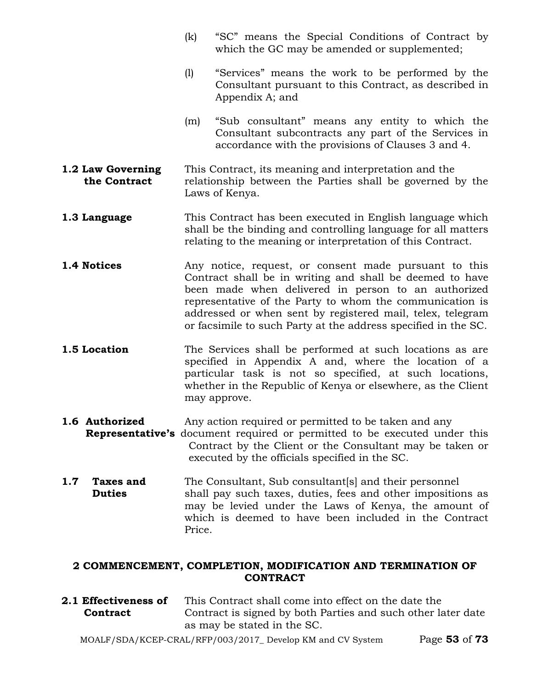- (k) "SC" means the Special Conditions of Contract by which the GC may be amended or supplemented;
- (l) "Services" means the work to be performed by the Consultant pursuant to this Contract, as described in Appendix A; and
- (m) "Sub consultant" means any entity to which the Consultant subcontracts any part of the Services in accordance with the provisions of Clauses 3 and 4.
- **1.2 Law Governing** This Contract, its meaning and interpretation and the **the Contract** relationship between the Parties shall be governed by the Laws of Kenya.
- **1.3 Language** This Contract has been executed in English language which shall be the binding and controlling language for all matters relating to the meaning or interpretation of this Contract.
- **1.4 Notices** Any notice, request, or consent made pursuant to this Contract shall be in writing and shall be deemed to have been made when delivered in person to an authorized representative of the Party to whom the communication is addressed or when sent by registered mail, telex, telegram or facsimile to such Party at the address specified in the SC.
- **1.5 Location** The Services shall be performed at such locations as are specified in Appendix A and, where the location of a particular task is not so specified, at such locations, whether in the Republic of Kenya or elsewhere, as the Client may approve.
- **1.6 Authorized** Any action required or permitted to be taken and any
- **Representative's** document required or permitted to be executed under this Contract by the Client or the Consultant may be taken or executed by the officials specified in the SC.
- **1.7 Taxes and** The Consultant, Sub consultant[s] and their personnel<br>**Duties** shall pay such taxes, duties, fees and other imposition shall pay such taxes, duties, fees and other impositions as may be levied under the Laws of Kenya, the amount of which is deemed to have been included in the Contract Price.

### **2 COMMENCEMENT, COMPLETION, MODIFICATION AND TERMINATION OF CONTRACT**

**2.1 Effectiveness of** This Contract shall come into effect on the date the **Contract** Contract is signed by both Parties and such other later date as may be stated in the SC.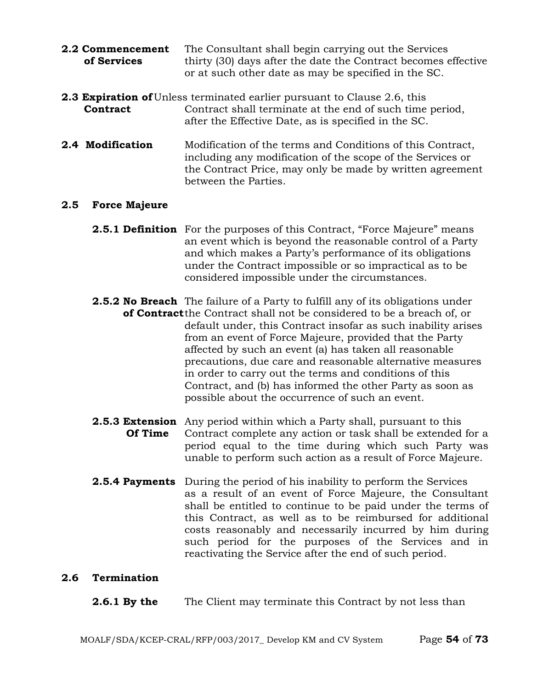| 2.2 Commencement | The Consultant shall begin carrying out the Services           |  |  |  |
|------------------|----------------------------------------------------------------|--|--|--|
| of Services      | thirty (30) days after the date the Contract becomes effective |  |  |  |
|                  | or at such other date as may be specified in the SC.           |  |  |  |

- **2.3 Expiration of** Unless terminated earlier pursuant to Clause 2.6, this **Contract** Contract shall terminate at the end of such time period, after the Effective Date, as is specified in the SC.
- **2.4 Modification** Modification of the terms and Conditions of this Contract, including any modification of the scope of the Services or the Contract Price, may only be made by written agreement between the Parties.

#### **2.5 Force Majeure**

- **2.5.1 Definition** For the purposes of this Contract, "Force Majeure" means an event which is beyond the reasonable control of a Party and which makes a Party's performance of its obligations under the Contract impossible or so impractical as to be considered impossible under the circumstances.
- **2.5.2 No Breach** The failure of a Party to fulfill any of its obligations under **of Contract**the Contract shall not be considered to be a breach of, or default under, this Contract insofar as such inability arises from an event of Force Majeure, provided that the Party affected by such an event (a) has taken all reasonable precautions, due care and reasonable alternative measures in order to carry out the terms and conditions of this Contract, and (b) has informed the other Party as soon as possible about the occurrence of such an event.
- **2.5.3 Extension** Any period within which a Party shall, pursuant to this **Of Time** Contract complete any action or task shall be extended Contract complete any action or task shall be extended for a period equal to the time during which such Party was unable to perform such action as a result of Force Majeure.
- **2.5.4 Payments** During the period of his inability to perform the Services as a result of an event of Force Majeure, the Consultant shall be entitled to continue to be paid under the terms of this Contract, as well as to be reimbursed for additional costs reasonably and necessarily incurred by him during such period for the purposes of the Services and in reactivating the Service after the end of such period.

#### **2.6 Termination**

**2.6.1 By the** The Client may terminate this Contract by not less than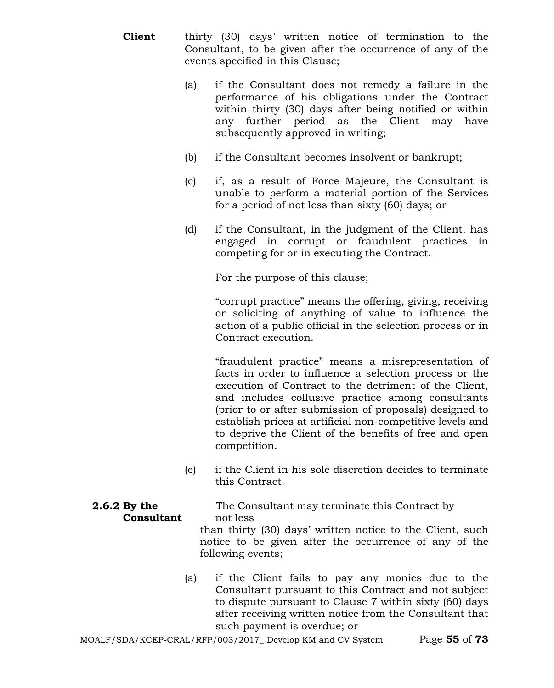- **Client** thirty (30) days' written notice of termination to the Consultant, to be given after the occurrence of any of the events specified in this Clause;
	- (a) if the Consultant does not remedy a failure in the performance of his obligations under the Contract within thirty (30) days after being notified or within any further period as the Client may have subsequently approved in writing;
	- (b) if the Consultant becomes insolvent or bankrupt;
	- (c) if, as a result of Force Majeure, the Consultant is unable to perform a material portion of the Services for a period of not less than sixty (60) days; or
	- (d) if the Consultant, in the judgment of the Client, has engaged in corrupt or fraudulent practices in competing for or in executing the Contract.

For the purpose of this clause;

"corrupt practice" means the offering, giving, receiving or soliciting of anything of value to influence the action of a public official in the selection process or in Contract execution.

"fraudulent practice" means a misrepresentation of facts in order to influence a selection process or the execution of Contract to the detriment of the Client, and includes collusive practice among consultants (prior to or after submission of proposals) designed to establish prices at artificial non-competitive levels and to deprive the Client of the benefits of free and open competition.

(e) if the Client in his sole discretion decides to terminate this Contract.

**2.6.2 By the** The Consultant may terminate this Contract by **Consultant** not less than thirty (30) days' written notice to the Client, such

notice to be given after the occurrence of any of the following events;

(a) if the Client fails to pay any monies due to the Consultant pursuant to this Contract and not subject to dispute pursuant to Clause 7 within sixty (60) days after receiving written notice from the Consultant that such payment is overdue; or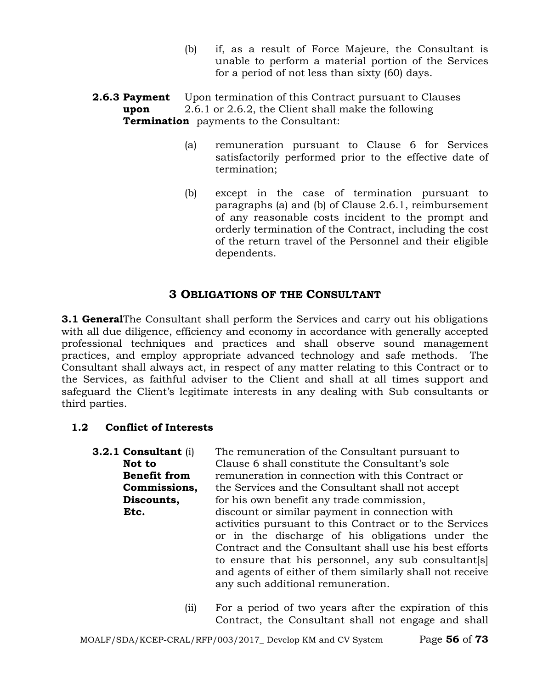- (b) if, as a result of Force Majeure, the Consultant is unable to perform a material portion of the Services for a period of not less than sixty (60) days.
- **2.6.3 Payment** Upon termination of this Contract pursuant to Clauses **upon** 2.6.1 or 2.6.2, the Client shall make the following **Termination** payments to the Consultant:
	- (a) remuneration pursuant to Clause 6 for Services satisfactorily performed prior to the effective date of termination;
	- (b) except in the case of termination pursuant to paragraphs (a) and (b) of Clause 2.6.1, reimbursement of any reasonable costs incident to the prompt and orderly termination of the Contract, including the cost of the return travel of the Personnel and their eligible dependents.

### **3 OBLIGATIONS OF THE CONSULTANT**

**3.1 General** The Consultant shall perform the Services and carry out his obligations with all due diligence, efficiency and economy in accordance with generally accepted professional techniques and practices and shall observe sound management practices, and employ appropriate advanced technology and safe methods. The Consultant shall always act, in respect of any matter relating to this Contract or to the Services, as faithful adviser to the Client and shall at all times support and safeguard the Client's legitimate interests in any dealing with Sub consultants or third parties.

### **1.2 Conflict of Interests**

| $3.2.1$ Consultant (i) | The remuneration of the Consultant pursuant to           |
|------------------------|----------------------------------------------------------|
| Not to                 | Clause 6 shall constitute the Consultant's sole          |
| <b>Benefit from</b>    | remuneration in connection with this Contract or         |
| Commissions,           | the Services and the Consultant shall not accept         |
| Discounts,             | for his own benefit any trade commission,                |
| Etc.                   | discount or similar payment in connection with           |
|                        | activities pursuant to this Contract or to the Services  |
|                        | or in the discharge of his obligations under the         |
|                        | Contract and the Consultant shall use his best efforts   |
|                        | to ensure that his personnel, any sub consultant [s]     |
|                        | and agents of either of them similarly shall not receive |
|                        | any such additional remuneration.                        |
|                        |                                                          |

(ii) For a period of two years after the expiration of this Contract, the Consultant shall not engage and shall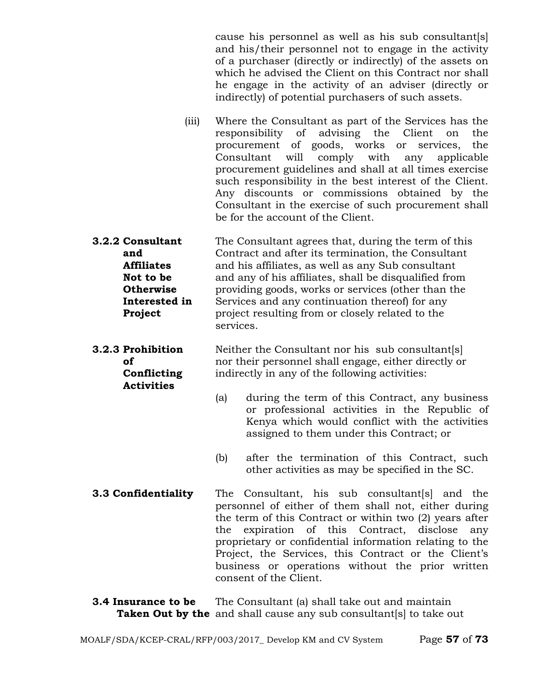cause his personnel as well as his sub consultant[s] and his/their personnel not to engage in the activity of a purchaser (directly or indirectly) of the assets on which he advised the Client on this Contract nor shall he engage in the activity of an adviser (directly or indirectly) of potential purchasers of such assets.

- (iii) Where the Consultant as part of the Services has the responsibility of advising the Client on the procurement of goods, works or services, the Consultant will comply with any applicable procurement guidelines and shall at all times exercise such responsibility in the best interest of the Client. Any discounts or commissions obtained by the Consultant in the exercise of such procurement shall be for the account of the Client.
- **3.2.2 Consultant** The Consultant agrees that, during the term of this **and** Contract and after its termination, the Consultant **Affiliates** and his affiliates, as well as any Sub consultant **Not to be** and any of his affiliates, shall be disqualified from **Otherwise** providing goods, works or services (other than the **Interested in** Services and any continuation thereof for any **Project** project resulting from or closely related to the services.

**Activities**

**3.2.3 Prohibition** Neither the Consultant nor his sub consultant[s] **of** nor their personnel shall engage, either directly or **Conflicting** indirectly in any of the following activities:

- (a) during the term of this Contract, any business or professional activities in the Republic of Kenya which would conflict with the activities assigned to them under this Contract; or
- (b) after the termination of this Contract, such other activities as may be specified in the SC.
- **3.3 Confidentiality** The Consultant, his sub consultant[s] and the personnel of either of them shall not, either during the term of this Contract or within two (2) years after the expiration of this Contract, disclose any proprietary or confidential information relating to the Project, the Services, this Contract or the Client's business or operations without the prior written consent of the Client.
- **3.4 Insurance to be** The Consultant (a) shall take out and maintain **Taken Out by the** and shall cause any sub consultant [s] to take out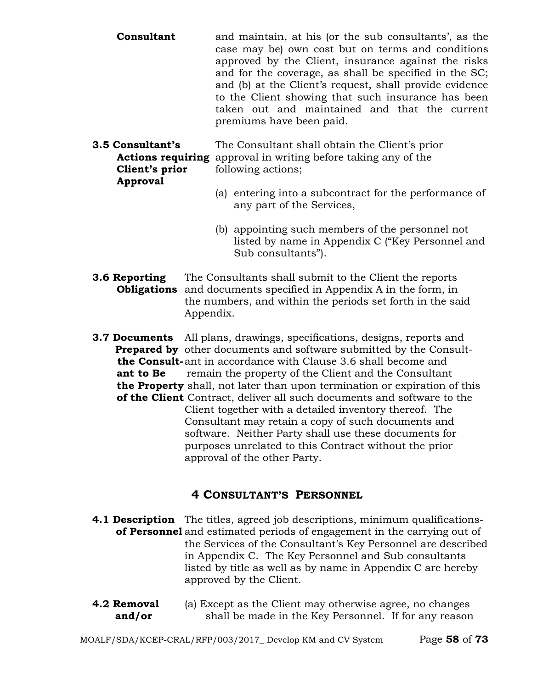- **Consultant** and maintain, at his (or the sub consultants', as the case may be) own cost but on terms and conditions approved by the Client, insurance against the risks and for the coverage, as shall be specified in the SC; and (b) at the Client's request, shall provide evidence to the Client showing that such insurance has been taken out and maintained and that the current premiums have been paid.
- **3.5 Consultant's** The Consultant shall obtain the Client's prior  **Actions requiring** approval in writing before taking any of the *Client's prior* following actions;  **Approval**
	- (a) entering into a subcontract for the performance of any part of the Services,
	- (b) appointing such members of the personnel not listed by name in Appendix C ("Key Personnel and Sub consultants").
- **3.6 Reporting** The Consultants shall submit to the Client the reports  **Obligations** and documents specified in Appendix A in the form, in the numbers, and within the periods set forth in the said Appendix.
- **3.7 Documents** All plans, drawings, specifications, designs, reports and **Prepared by** other documents and software submitted by the Consult  **the Consult-**ant in accordance with Clause 3.6 shall become and **ant to Be** remain the property of the Client and the Consultant  **the Property** shall, not later than upon termination or expiration of this  **of the Client** Contract, deliver all such documents and software to the Client together with a detailed inventory thereof. The Consultant may retain a copy of such documents and software. Neither Party shall use these documents for purposes unrelated to this Contract without the prior approval of the other Party.

### **4 CONSULTANT'S PERSONNEL**

- **4.1 Description** The titles, agreed job descriptions, minimum qualifications**of Personnel** and estimated periods of engagement in the carrying out of the Services of the Consultant's Key Personnel are described in Appendix C. The Key Personnel and Sub consultants listed by title as well as by name in Appendix C are hereby approved by the Client.
- **4.2 Removal** (a) Except as the Client may otherwise agree, no changes **and/or** shall be made in the Key Personnel. If for any reason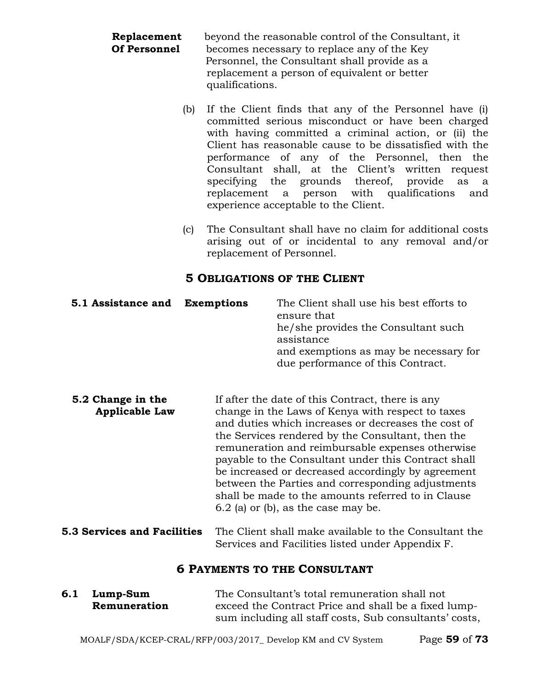| Replacement  | beyond the reasonable control of the Consultant, it |  |  |  |
|--------------|-----------------------------------------------------|--|--|--|
| Of Personnel | becomes necessary to replace any of the Key         |  |  |  |
|              | Personnel, the Consultant shall provide as a        |  |  |  |
|              | replacement a person of equivalent or better        |  |  |  |
|              | qualifications.                                     |  |  |  |

- (b) If the Client finds that any of the Personnel have (i) committed serious misconduct or have been charged with having committed a criminal action, or (ii) the Client has reasonable cause to be dissatisfied with the performance of any of the Personnel, then the Consultant shall, at the Client's written request specifying the grounds thereof, provide as a replacement a person with qualifications and experience acceptable to the Client.
- (c) The Consultant shall have no claim for additional costs arising out of or incidental to any removal and/or replacement of Personnel.

### **5 OBLIGATIONS OF THE CLIENT**

| 5.1 Assistance and | <b>Exemptions</b> | The Client shall use his best efforts to<br>ensure that<br>he/she provides the Consultant such<br>assistance<br>and exemptions as may be necessary for<br>due performance of this Contract. |
|--------------------|-------------------|---------------------------------------------------------------------------------------------------------------------------------------------------------------------------------------------|
|                    |                   |                                                                                                                                                                                             |

- **5.2 Change in the** If after the date of this Contract, there is any **Applicable Law** change in the Laws of Kenya with respect to taxes and duties which increases or decreases the cost of the Services rendered by the Consultant, then the remuneration and reimbursable expenses otherwise payable to the Consultant under this Contract shall be increased or decreased accordingly by agreement between the Parties and corresponding adjustments shall be made to the amounts referred to in Clause 6.2 (a) or (b), as the case may be.
- **5.3 Services and Facilities** The Client shall make available to the Consultant the Services and Facilities listed under Appendix F.

### **6 PAYMENTS TO THE CONSULTANT**

| 6.1 Lump-Sum | The Consultant's total remuneration shall not          |  |  |
|--------------|--------------------------------------------------------|--|--|
| Remuneration | exceed the Contract Price and shall be a fixed lump-   |  |  |
|              | sum including all staff costs, Sub consultants' costs, |  |  |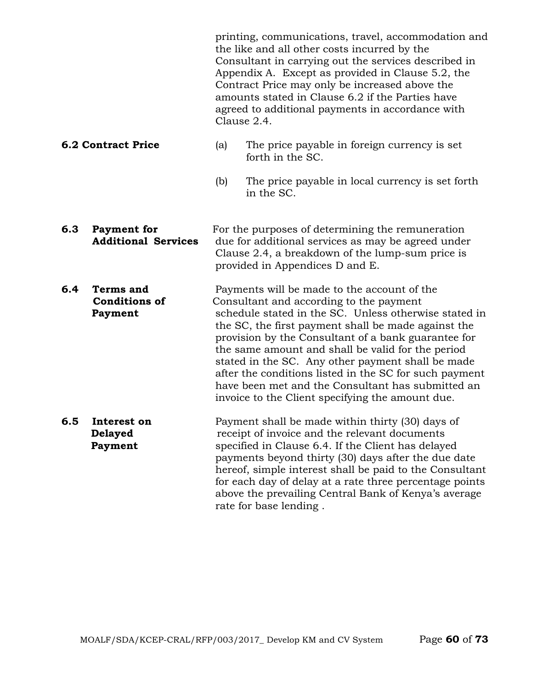printing, communications, travel, accommodation and the like and all other costs incurred by the Consultant in carrying out the services described in Appendix A. Except as provided in Clause 5.2, the Contract Price may only be increased above the amounts stated in Clause 6.2 if the Parties have agreed to additional payments in accordance with Clause 2.4.

#### **6.2 Contract Price** (a) The price payable in foreign currency is set forth in the SC.

- (b) The price payable in local currency is set forth in the SC.
- **6.3 Payment for** For the purposes of determining the remuneration **Additional Services** due for additional services as may be agreed under Clause 2.4, a breakdown of the lump-sum price is provided in Appendices D and E.
- **6.4 Terms and** Payments will be made to the account of the **Conditions of** Consultant and according to the payment **Payment** schedule stated in the SC. Unless otherwise stated in the SC, the first payment shall be made against the provision by the Consultant of a bank guarantee for the same amount and shall be valid for the period stated in the SC. Any other payment shall be made after the conditions listed in the SC for such payment have been met and the Consultant has submitted an invoice to the Client specifying the amount due.
- **6.5 Interest on** Payment shall be made within thirty (30) days of **Delayed receipt of invoice and the relevant documents Payment** specified in Clause 6.4. If the Client has delayed payments beyond thirty (30) days after the due date hereof, simple interest shall be paid to the Consultant for each day of delay at a rate three percentage points above the prevailing Central Bank of Kenya's average rate for base lending .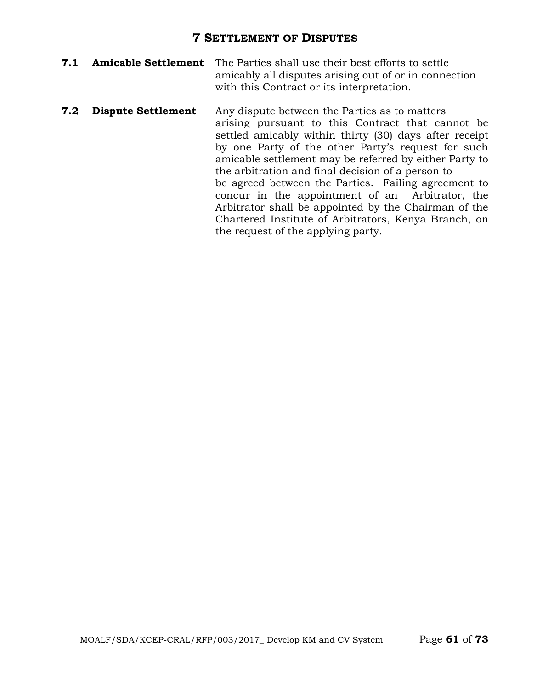### **7 SETTLEMENT OF DISPUTES**

- **7.1 Amicable Settlement** The Parties shall use their best efforts to settle amicably all disputes arising out of or in connection with this Contract or its interpretation.
- **7.2 Dispute Settlement** Any dispute between the Parties as to matters arising pursuant to this Contract that cannot be settled amicably within thirty (30) days after receipt by one Party of the other Party's request for such amicable settlement may be referred by either Party to the arbitration and final decision of a person to be agreed between the Parties. Failing agreement to concur in the appointment of an Arbitrator, the Arbitrator shall be appointed by the Chairman of the Chartered Institute of Arbitrators, Kenya Branch, on the request of the applying party.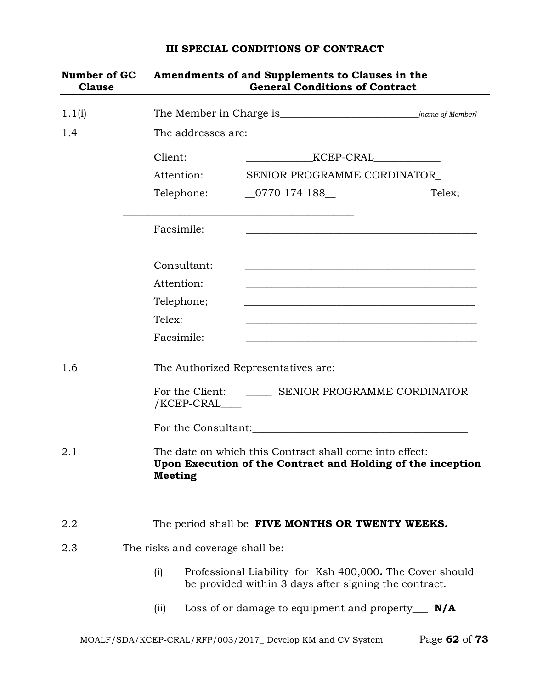# **Number of GC Amendments of and Supplements to Clauses in the Clause General Conditions of Contract** 1.1(i) The Member in Charge is\_\_\_\_\_\_\_\_\_\_\_\_\_\_\_\_\_\_\_\_\_\_\_\_\_\_\_*[name of Member]* 1.4 The addresses are: Client: \_\_\_\_\_\_\_\_\_\_\_\_\_KCEP-CRAL\_\_\_\_\_\_\_\_\_\_\_\_\_ Attention: SENIOR PROGRAMME CORDINATOR Telephone: 0770 174 188 Telex; \_\_\_\_\_\_\_\_\_\_\_\_\_\_\_\_\_\_\_\_\_\_\_\_\_\_\_\_\_\_\_\_\_\_\_\_\_\_\_\_\_\_\_\_\_ Facsimile: Consultant: Attention: Telephone; Telex: \_\_\_\_\_\_\_\_\_\_\_\_\_\_\_\_\_\_\_\_\_\_\_\_\_\_\_\_\_\_\_\_\_\_\_\_\_\_\_\_\_\_\_\_\_ Facsimile: 1.6 The Authorized Representatives are: For the Client: \_\_\_\_\_\_\_\_ SENIOR PROGRAMME CORDINATOR /KCEP-CRAL\_\_\_\_ For the Consultant: 2.1 The date on which this Contract shall come into effect: **Upon Execution of the Contract and Holding of the inception Meeting** 2.2 The period shall be **FIVE MONTHS OR TWENTY WEEKS.** 2.3 The risks and coverage shall be: (i) Professional Liability for Ksh 400,000**.** The Cover should be provided within 3 days after signing the contract. (ii) Loss of or damage to equipment and property\_\_\_ **N/A**

#### **III SPECIAL CONDITIONS OF CONTRACT**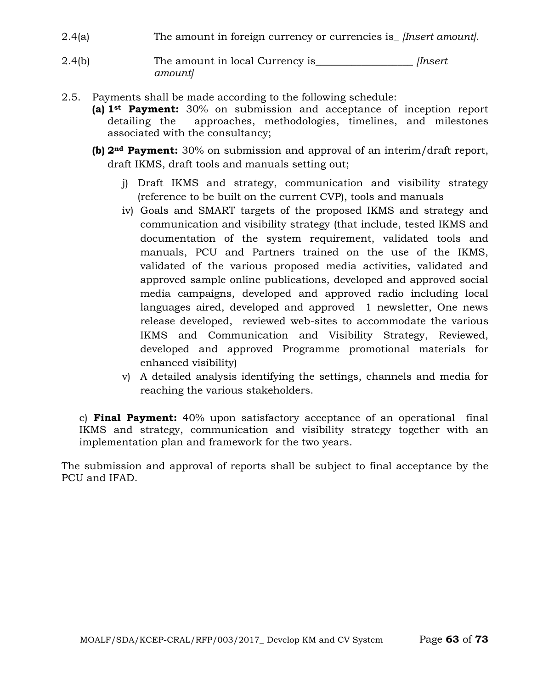- 2.4(a) The amount in foreign currency or currencies is\_ *[Insert amount].*
- 2.4(b) The amount in local Currency is\_\_\_\_\_\_\_\_\_\_\_\_\_\_\_\_\_\_\_ *[Insert amount]*
- 2.5. Payments shall be made according to the following schedule:
	- **(a) 1st Payment:** 30% on submission and acceptance of inception report detailing the approaches, methodologies, timelines, and milestones associated with the consultancy;
	- **(b) 2nd Payment:** 30% on submission and approval of an interim/draft report, draft IKMS, draft tools and manuals setting out;
		- j) Draft IKMS and strategy, communication and visibility strategy (reference to be built on the current CVP), tools and manuals
		- iv) Goals and SMART targets of the proposed IKMS and strategy and communication and visibility strategy (that include, tested IKMS and documentation of the system requirement, validated tools and manuals, PCU and Partners trained on the use of the IKMS, validated of the various proposed media activities, validated and approved sample online publications, developed and approved social media campaigns, developed and approved radio including local languages aired, developed and approved 1 newsletter, One news release developed, reviewed web-sites to accommodate the various IKMS and Communication and Visibility Strategy, Reviewed, developed and approved Programme promotional materials for enhanced visibility)
		- v) A detailed analysis identifying the settings, channels and media for reaching the various stakeholders.

c) **Final Payment:** 40% upon satisfactory acceptance of an operational final IKMS and strategy, communication and visibility strategy together with an implementation plan and framework for the two years.

The submission and approval of reports shall be subject to final acceptance by the PCU and IFAD.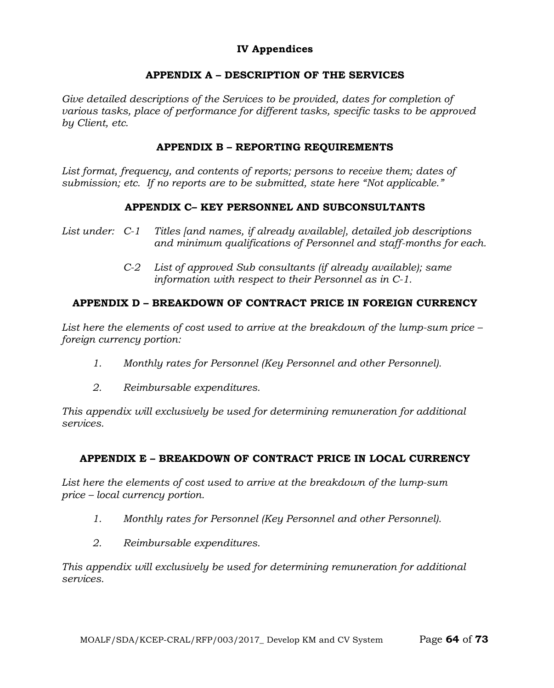### **IV Appendices**

### **APPENDIX A – DESCRIPTION OF THE SERVICES**

Give detailed descriptions of the Services to be provided, dates for completion of *various tasks, place of performance for different tasks, specific tasks to be approved by Client, etc.*

### **APPENDIX B – REPORTING REQUIREMENTS**

*List format, frequency, and contents of reports; persons to receive them; dates of submission; etc. If no reports are to be submitted, state here "Not applicable."*

### **APPENDIX C– KEY PERSONNEL AND SUBCONSULTANTS**

- *List under: C-1 Titles [and names, if already available], detailed job descriptions and minimum qualifications of Personnel and staff-months for each.*
	- *C-2 List of approved Sub consultants (if already available); same information with respect to their Personnel as in C-1.*

### **APPENDIX D – BREAKDOWN OF CONTRACT PRICE IN FOREIGN CURRENCY**

*List here the elements of cost used to arrive at the breakdown of the lump-sum price – foreign currency portion:*

- *1. Monthly rates for Personnel (Key Personnel and other Personnel).*
- *2. Reimbursable expenditures.*

*This appendix will exclusively be used for determining remuneration for additional services.*

### **APPENDIX E – BREAKDOWN OF CONTRACT PRICE IN LOCAL CURRENCY**

*List here the elements of cost used to arrive at the breakdown of the lump-sum price – local currency portion.*

- *1. Monthly rates for Personnel (Key Personnel and other Personnel).*
- *2. Reimbursable expenditures.*

*This appendix will exclusively be used for determining remuneration for additional services.*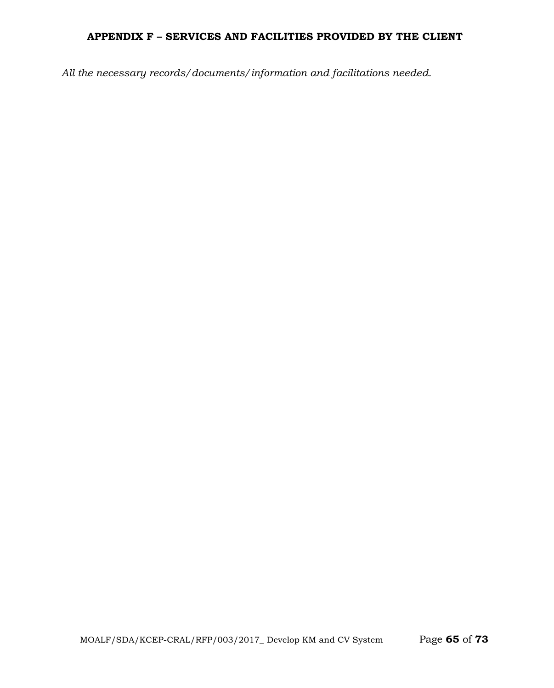### **APPENDIX F – SERVICES AND FACILITIES PROVIDED BY THE CLIENT**

*All the necessary records/documents/information and facilitations needed.*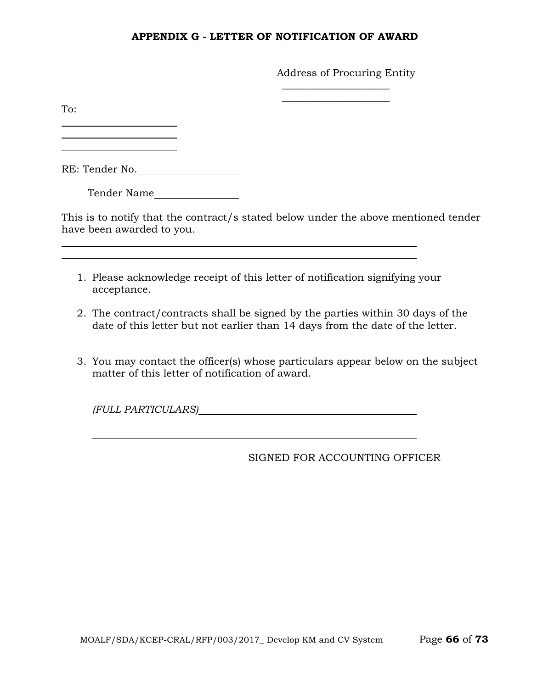#### **APPENDIX G - LETTER OF NOTIFICATION OF AWARD**

Address of Procuring Entity

 $\overline{\phantom{a}}$  , where  $\overline{\phantom{a}}$  , where  $\overline{\phantom{a}}$  $\overline{\phantom{a}}$  , where  $\overline{\phantom{a}}$  , where  $\overline{\phantom{a}}$ 

To: <u> 1989 - Johann Barbara, martin a</u>

RE: Tender No.

Tender Name

This is to notify that the contract/s stated below under the above mentioned tender have been awarded to you.

1. Please acknowledge receipt of this letter of notification signifying your acceptance.

<u> 1989 - Johann Stoff, deutscher Stoffen und der Stoffen und der Stoffen und der Stoffen und der Stoffen und de</u>

- 2. The contract/contracts shall be signed by the parties within 30 days of the date of this letter but not earlier than 14 days from the date of the letter.
- 3. You may contact the officer(s) whose particulars appear below on the subject matter of this letter of notification of award.

*(FULL PARTICULARS)*

SIGNED FOR ACCOUNTING OFFICER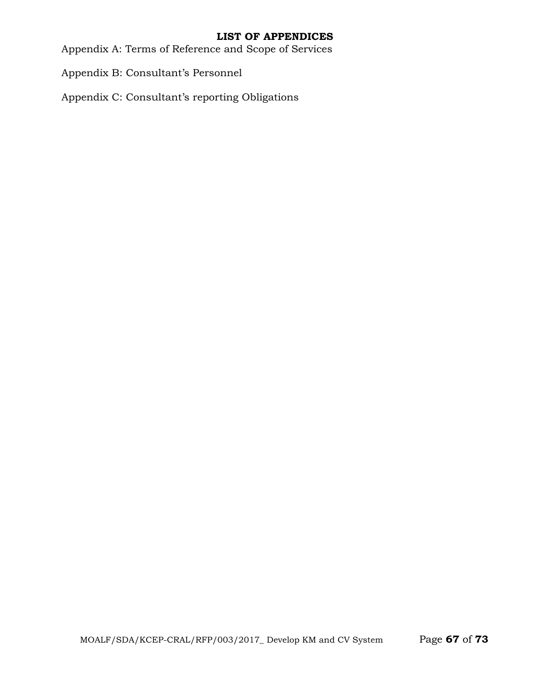### **LIST OF APPENDICES**

Appendix A: Terms of Reference and Scope of Services

Appendix B: Consultant's Personnel

Appendix C: Consultant's reporting Obligations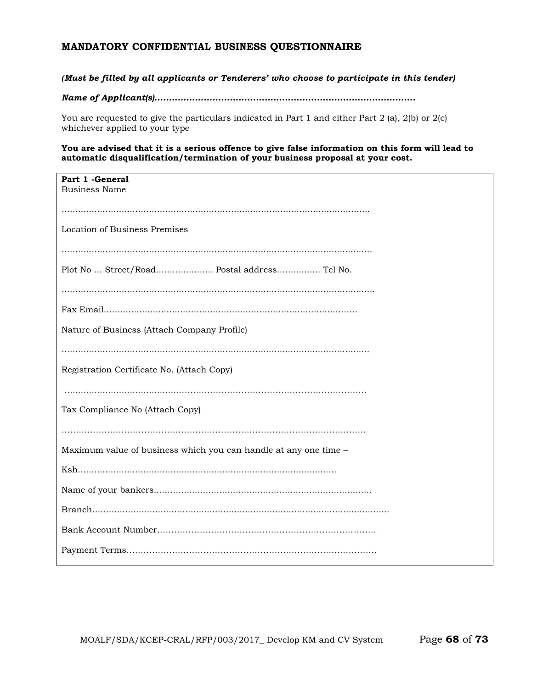#### **MANDATORY CONFIDENTIAL BUSINESS QUESTIONNAIRE**

#### *(Must be filled by all applicants or Tenderers' who choose to participate in this tender)*

#### *Name of Applicant(s)..........................................................................................*

You are requested to give the particulars indicated in Part 1 and either Part 2 (a), 2(b) or 2(c) whichever applied to your type

**You are advised that it is a serious offence to give false information on this form will lead to automatic disqualification/termination of your business proposal at your cost.**

| Part 1 - General<br><b>Business Name</b>                         |
|------------------------------------------------------------------|
|                                                                  |
| Location of Business Premises                                    |
|                                                                  |
| Plot No  Street/Road Postal address Tel No.                      |
|                                                                  |
|                                                                  |
| Nature of Business (Attach Company Profile)                      |
|                                                                  |
| Registration Certificate No. (Attach Copy)                       |
|                                                                  |
| Tax Compliance No (Attach Copy)                                  |
|                                                                  |
| Maximum value of business which you can handle at any one time - |
|                                                                  |
|                                                                  |
|                                                                  |
|                                                                  |
|                                                                  |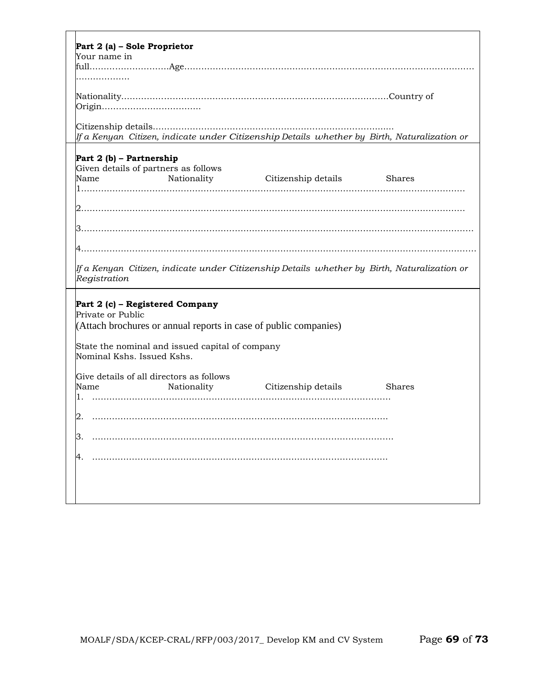| Part 2 (a) - Sole Proprietor<br>Your name in                                                                             |
|--------------------------------------------------------------------------------------------------------------------------|
|                                                                                                                          |
|                                                                                                                          |
|                                                                                                                          |
| If a Kenyan  Citizen, indicate under Citizenship Details  whether by  Birth, Naturalization or                           |
| Part 2 (b) - Partnership<br>Given details of partners as follows<br>Nationality Citizenship details Shares<br>Name       |
|                                                                                                                          |
|                                                                                                                          |
|                                                                                                                          |
|                                                                                                                          |
| lf a Kenyan  Citizen, indicate under Citizenship Details  whether by  Birth, Naturalization or<br>Registration           |
| Part 2 (c) - Registered Company<br>Private or Public<br>(Attach brochures or annual reports in case of public companies) |
| State the nominal and issued capital of company<br>Nominal Kshs. Issued Kshs.                                            |
| Give details of all directors as follows<br>Name<br>Nationality<br>Citizenship details<br><b>Shares</b><br>1.            |
|                                                                                                                          |
|                                                                                                                          |
|                                                                                                                          |
|                                                                                                                          |
|                                                                                                                          |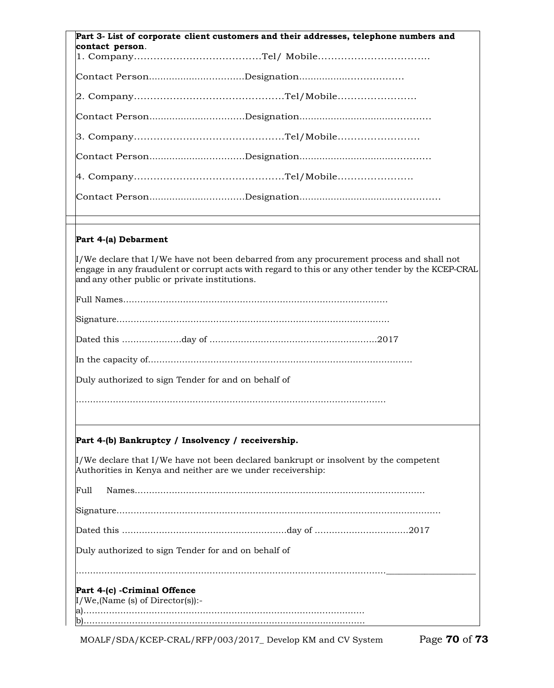| Part 3- List of corporate client customers and their addresses, telephone numbers and                                                                                                                                                               |
|-----------------------------------------------------------------------------------------------------------------------------------------------------------------------------------------------------------------------------------------------------|
| contact person.                                                                                                                                                                                                                                     |
|                                                                                                                                                                                                                                                     |
|                                                                                                                                                                                                                                                     |
|                                                                                                                                                                                                                                                     |
|                                                                                                                                                                                                                                                     |
|                                                                                                                                                                                                                                                     |
|                                                                                                                                                                                                                                                     |
|                                                                                                                                                                                                                                                     |
|                                                                                                                                                                                                                                                     |
|                                                                                                                                                                                                                                                     |
| Part 4-(a) Debarment                                                                                                                                                                                                                                |
| $\mu$ /We declare that I/We have not been debarred from any procurement process and shall not<br>engage in any fraudulent or corrupt acts with regard to this or any other tender by the KCEP-CRAL<br>and any other public or private institutions. |
|                                                                                                                                                                                                                                                     |
|                                                                                                                                                                                                                                                     |
|                                                                                                                                                                                                                                                     |
|                                                                                                                                                                                                                                                     |
| Duly authorized to sign Tender for and on behalf of                                                                                                                                                                                                 |
|                                                                                                                                                                                                                                                     |
| Part 4-(b) Bankruptcy / Insolvency / receivership.                                                                                                                                                                                                  |
| $\mathcal{I}/\mathbb{W}$ e declare that I/We have not been declared bankrupt or insolvent by the competent<br>Authorities in Kenya and neither are we under receivership:                                                                           |
| Full                                                                                                                                                                                                                                                |
|                                                                                                                                                                                                                                                     |
|                                                                                                                                                                                                                                                     |
| Duly authorized to sign Tender for and on behalf of                                                                                                                                                                                                 |
|                                                                                                                                                                                                                                                     |
| Part 4-(c) - Criminal Offence<br>$\text{I/We},$ (Name (s) of Director(s)):-                                                                                                                                                                         |
| a).                                                                                                                                                                                                                                                 |
|                                                                                                                                                                                                                                                     |

MOALF/SDA/KCEP-CRAL/RFP/003/2017\_ Develop KM and CV System Page **70** of **73**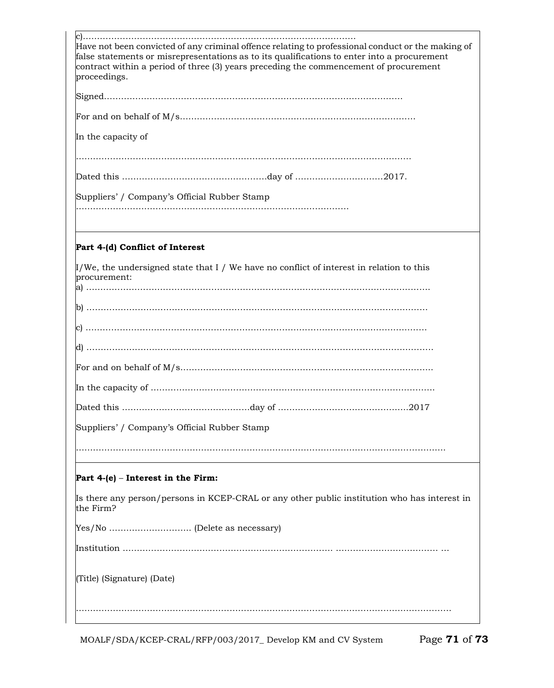| Have not been convicted of any criminal offence relating to professional conduct or the making of<br>false statements or misrepresentations as to its qualifications to enter into a procurement<br>contract within a period of three (3) years preceding the commencement of procurement<br>proceedings. |
|-----------------------------------------------------------------------------------------------------------------------------------------------------------------------------------------------------------------------------------------------------------------------------------------------------------|
|                                                                                                                                                                                                                                                                                                           |
|                                                                                                                                                                                                                                                                                                           |
| In the capacity of                                                                                                                                                                                                                                                                                        |
|                                                                                                                                                                                                                                                                                                           |
|                                                                                                                                                                                                                                                                                                           |
| Suppliers' / Company's Official Rubber Stamp                                                                                                                                                                                                                                                              |
|                                                                                                                                                                                                                                                                                                           |
| Part 4-(d) Conflict of Interest                                                                                                                                                                                                                                                                           |
| $\mu$ /We, the undersigned state that I / We have no conflict of interest in relation to this<br>procurement:                                                                                                                                                                                             |
|                                                                                                                                                                                                                                                                                                           |
|                                                                                                                                                                                                                                                                                                           |
|                                                                                                                                                                                                                                                                                                           |
|                                                                                                                                                                                                                                                                                                           |
|                                                                                                                                                                                                                                                                                                           |
| .2017                                                                                                                                                                                                                                                                                                     |
| Suppliers' / Company's Official Rubber Stamp                                                                                                                                                                                                                                                              |
|                                                                                                                                                                                                                                                                                                           |
| Part $4-(e)$ – Interest in the Firm:                                                                                                                                                                                                                                                                      |
| Is there any person/persons in KCEP-CRAL or any other public institution who has interest in<br>the Firm?                                                                                                                                                                                                 |
|                                                                                                                                                                                                                                                                                                           |
|                                                                                                                                                                                                                                                                                                           |
| (Title) (Signature) (Date)                                                                                                                                                                                                                                                                                |
|                                                                                                                                                                                                                                                                                                           |

MOALF/SDA/KCEP-CRAL/RFP/003/2017\_ Develop KM and CV System Page **71** of **73**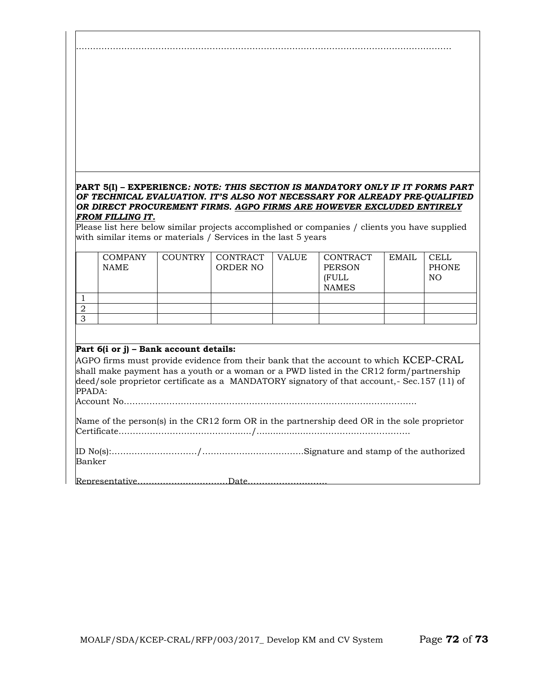#### **PART 5(I) – EXPERIENCE***: NOTE: THIS SECTION IS MANDATORY ONLY IF IT FORMS PART OF TECHNICAL EVALUATION. IT'S ALSO NOT NECESSARY FOR ALREADY PRE-QUALIFIED OR DIRECT PROCUREMENT FIRMS. AGPO FIRMS ARE HOWEVER EXCLUDED ENTIRELY FROM FILLING IT.*

……………………………………………………………………………………………………………………

Please list here below similar projects accomplished or companies / clients you have supplied with similar items or materials / Services in the last 5 years

|   | <b>COMPANY</b><br><b>NAME</b> | COUNTRY | CONTRACT<br>ORDER NO | <b>VALUE</b> | CONTRACT<br><b>PERSON</b><br><b>(FULL</b><br><b>NAMES</b> | <b>EMAIL</b> | <b>CELL</b><br><b>PHONE</b><br>NO. |
|---|-------------------------------|---------|----------------------|--------------|-----------------------------------------------------------|--------------|------------------------------------|
|   |                               |         |                      |              |                                                           |              |                                    |
|   |                               |         |                      |              |                                                           |              |                                    |
| ◡ |                               |         |                      |              |                                                           |              |                                    |

#### **Part 6(i or j) – Bank account details:**

AGPO firms must provide evidence from their bank that the account to which KCEP-CRAL shall make payment has a youth or a woman or a PWD listed in the CR12 form/partnership deed/sole proprietor certificate as a MANDATORY signatory of that account,- Sec.157 (11) of PPADA:

Account No………………………………………………………………………………………….

Name of the person(s) in the CR12 form OR in the partnership deed OR in the sole proprietor Certificate………………………….………......./...................……………..……………….

ID No(s):…………………………/…….………..…….…..…...Signature and stamp of the authorized Banker

Representative……………..……………Date……………………….